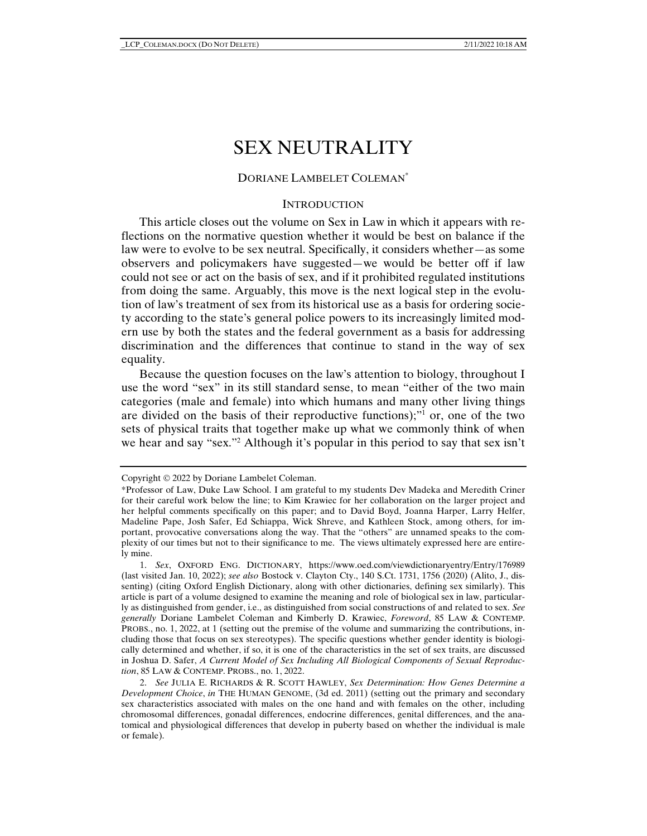# SEX NEUTRALITY

# DORIANE LAMBELET COLEMAN\*

## **INTRODUCTION**

This article closes out the volume on Sex in Law in which it appears with reflections on the normative question whether it would be best on balance if the law were to evolve to be sex neutral. Specifically, it considers whether—as some observers and policymakers have suggested—we would be better off if law could not see or act on the basis of sex, and if it prohibited regulated institutions from doing the same. Arguably, this move is the next logical step in the evolution of law's treatment of sex from its historical use as a basis for ordering society according to the state's general police powers to its increasingly limited modern use by both the states and the federal government as a basis for addressing discrimination and the differences that continue to stand in the way of sex equality.

Because the question focuses on the law's attention to biology, throughout I use the word "sex" in its still standard sense, to mean "either of the two main categories (male and female) into which humans and many other living things are divided on the basis of their reproductive functions);"1 or, one of the two sets of physical traits that together make up what we commonly think of when we hear and say "sex."2 Although it's popular in this period to say that sex isn't

Copyright  $@ 2022$  by Doriane Lambelet Coleman.

<sup>\*</sup>Professor of Law, Duke Law School. I am grateful to my students Dev Madeka and Meredith Criner for their careful work below the line; to Kim Krawiec for her collaboration on the larger project and her helpful comments specifically on this paper; and to David Boyd, Joanna Harper, Larry Helfer, Madeline Pape, Josh Safer, Ed Schiappa, Wick Shreve, and Kathleen Stock, among others, for important, provocative conversations along the way. That the "others" are unnamed speaks to the complexity of our times but not to their significance to me. The views ultimately expressed here are entirely mine.

 <sup>1.</sup> *Sex*, OXFORD ENG. DICTIONARY, https://www.oed.com/viewdictionaryentry/Entry/176989 (last visited Jan. 10, 2022); *see also* Bostock v. Clayton Cty., 140 S.Ct. 1731, 1756 (2020) (Alito, J., dissenting) (citing Oxford English Dictionary, along with other dictionaries, defining sex similarly). This article is part of a volume designed to examine the meaning and role of biological sex in law, particularly as distinguished from gender, i.e., as distinguished from social constructions of and related to sex. *See generally* Doriane Lambelet Coleman and Kimberly D. Krawiec, *Foreword*, 85 LAW & CONTEMP. PROBS., no. 1, 2022, at 1 (setting out the premise of the volume and summarizing the contributions, including those that focus on sex stereotypes). The specific questions whether gender identity is biologically determined and whether, if so, it is one of the characteristics in the set of sex traits, are discussed in Joshua D. Safer, *A Current Model of Sex Including All Biological Components of Sexual Reproduction*, 85 LAW & CONTEMP. PROBS., no. 1, 2022.

 <sup>2.</sup> *See* JULIA E. RICHARDS & R. SCOTT HAWLEY, *Sex Determination: How Genes Determine a Development Choice*, *in* THE HUMAN GENOME, (3d ed. 2011) (setting out the primary and secondary sex characteristics associated with males on the one hand and with females on the other, including chromosomal differences, gonadal differences, endocrine differences, genital differences, and the anatomical and physiological differences that develop in puberty based on whether the individual is male or female).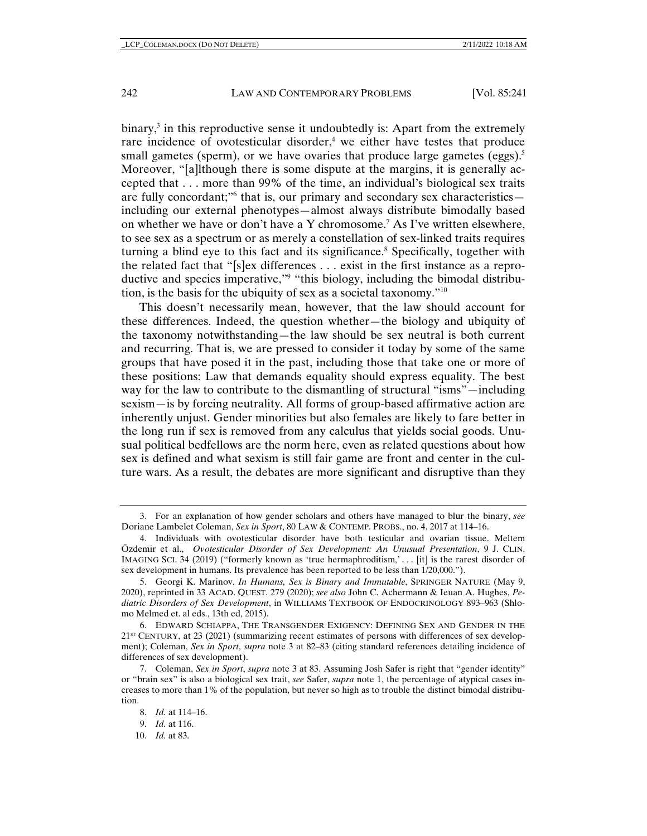binary,<sup>3</sup> in this reproductive sense it undoubtedly is: Apart from the extremely rare incidence of ovotesticular disorder,<sup>4</sup> we either have testes that produce small gametes (sperm), or we have ovaries that produce large gametes (eggs).<sup>5</sup> Moreover, "[a]lthough there is some dispute at the margins, it is generally accepted that . . . more than 99% of the time, an individual's biological sex traits are fully concordant;"6 that is, our primary and secondary sex characteristics including our external phenotypes—almost always distribute bimodally based on whether we have or don't have a Y chromosome.7 As I've written elsewhere, to see sex as a spectrum or as merely a constellation of sex-linked traits requires turning a blind eye to this fact and its significance.<sup>8</sup> Specifically, together with the related fact that "[s]ex differences . . . exist in the first instance as a reproductive and species imperative,"9 "this biology, including the bimodal distribution, is the basis for the ubiquity of sex as a societal taxonomy."10

This doesn't necessarily mean, however, that the law should account for these differences. Indeed, the question whether—the biology and ubiquity of the taxonomy notwithstanding—the law should be sex neutral is both current and recurring. That is, we are pressed to consider it today by some of the same groups that have posed it in the past, including those that take one or more of these positions: Law that demands equality should express equality. The best way for the law to contribute to the dismantling of structural "isms"—including sexism—is by forcing neutrality. All forms of group-based affirmative action are inherently unjust. Gender minorities but also females are likely to fare better in the long run if sex is removed from any calculus that yields social goods. Unusual political bedfellows are the norm here, even as related questions about how sex is defined and what sexism is still fair game are front and center in the culture wars. As a result, the debates are more significant and disruptive than they

 <sup>3.</sup> For an explanation of how gender scholars and others have managed to blur the binary, *see* Doriane Lambelet Coleman, *Sex in Sport*, 80 LAW & CONTEMP. PROBS., no. 4, 2017 at 114–16.

 <sup>4.</sup> Individuals with ovotesticular disorder have both testicular and ovarian tissue. Meltem Özdemir et al., *Ovotesticular Disorder of Sex Development: An Unusual Presentation*, 9 J. CLIN. IMAGING SCI. 34 (2019) ("formerly known as 'true hermaphroditism,' . . . [it] is the rarest disorder of sex development in humans. Its prevalence has been reported to be less than 1/20,000.").

 <sup>5.</sup> Georgi K. Marinov, *In Humans, Sex is Binary and Immutable*, SPRINGER NATURE (May 9, 2020), reprinted in 33 ACAD. QUEST. 279 (2020); *see also* John C. Achermann & Ieuan A. Hughes, *Pediatric Disorders of Sex Development*, in WILLIAMS TEXTBOOK OF ENDOCRINOLOGY 893–963 (Shlomo Melmed et. al eds., 13th ed, 2015).

 <sup>6.</sup> EDWARD SCHIAPPA, THE TRANSGENDER EXIGENCY: DEFINING SEX AND GENDER IN THE  $21<sup>ST</sup>$  CENTURY, at 23 (2021) (summarizing recent estimates of persons with differences of sex development); Coleman, *Sex in Sport*, *supra* note 3 at 82–83 (citing standard references detailing incidence of differences of sex development).

 <sup>7.</sup> Coleman, *Sex in Sport*, *supra* note 3 at 83. Assuming Josh Safer is right that "gender identity" or "brain sex" is also a biological sex trait, *see* Safer, *supra* note 1, the percentage of atypical cases increases to more than 1% of the population, but never so high as to trouble the distinct bimodal distribution.

 <sup>8.</sup> *Id.* at 114–16.

 <sup>9.</sup> *Id.* at 116.

 <sup>10.</sup> *Id.* at 83.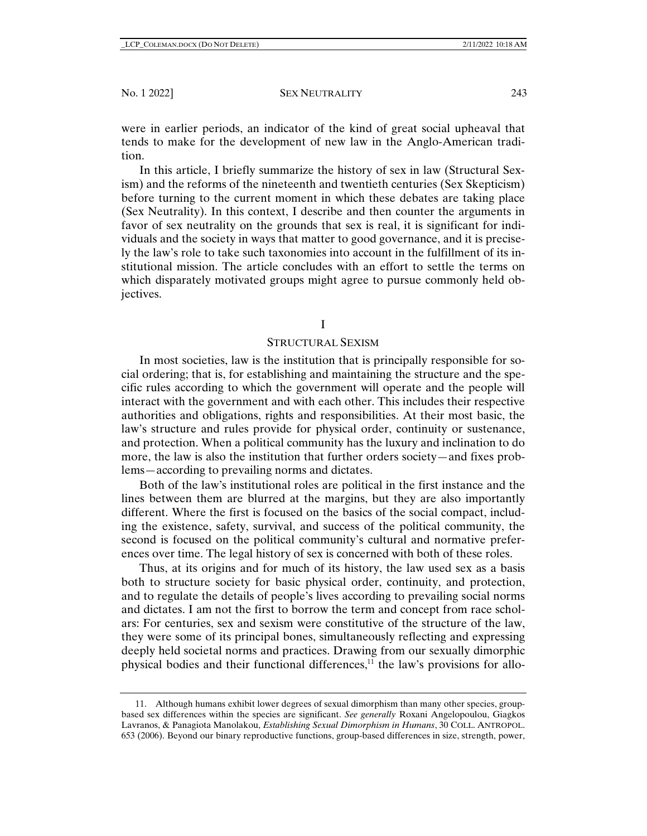were in earlier periods, an indicator of the kind of great social upheaval that tends to make for the development of new law in the Anglo-American tradition.

In this article, I briefly summarize the history of sex in law (Structural Sexism) and the reforms of the nineteenth and twentieth centuries (Sex Skepticism) before turning to the current moment in which these debates are taking place (Sex Neutrality). In this context, I describe and then counter the arguments in favor of sex neutrality on the grounds that sex is real, it is significant for individuals and the society in ways that matter to good governance, and it is precisely the law's role to take such taxonomies into account in the fulfillment of its institutional mission. The article concludes with an effort to settle the terms on which disparately motivated groups might agree to pursue commonly held objectives.

## I

## STRUCTURAL SEXISM

In most societies, law is the institution that is principally responsible for social ordering; that is, for establishing and maintaining the structure and the specific rules according to which the government will operate and the people will interact with the government and with each other. This includes their respective authorities and obligations, rights and responsibilities. At their most basic, the law's structure and rules provide for physical order, continuity or sustenance, and protection. When a political community has the luxury and inclination to do more, the law is also the institution that further orders society—and fixes problems—according to prevailing norms and dictates.

Both of the law's institutional roles are political in the first instance and the lines between them are blurred at the margins, but they are also importantly different. Where the first is focused on the basics of the social compact, including the existence, safety, survival, and success of the political community, the second is focused on the political community's cultural and normative preferences over time. The legal history of sex is concerned with both of these roles.

Thus, at its origins and for much of its history, the law used sex as a basis both to structure society for basic physical order, continuity, and protection, and to regulate the details of people's lives according to prevailing social norms and dictates. I am not the first to borrow the term and concept from race scholars: For centuries, sex and sexism were constitutive of the structure of the law, they were some of its principal bones, simultaneously reflecting and expressing deeply held societal norms and practices. Drawing from our sexually dimorphic physical bodies and their functional differences, $11$  the law's provisions for allo-

 <sup>11.</sup> Although humans exhibit lower degrees of sexual dimorphism than many other species, groupbased sex differences within the species are significant. *See generally* Roxani Angelopoulou, Giagkos Lavranos, & Panagiota Manolakou, *Establishing Sexual Dimorphism in Humans*, 30 COLL. ANTROPOL. 653 (2006). Beyond our binary reproductive functions, group-based differences in size, strength, power,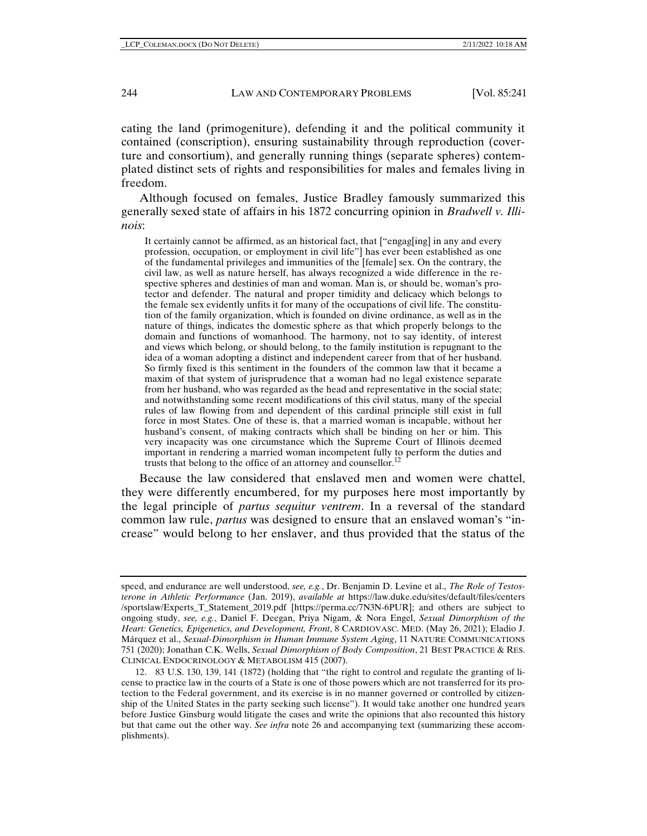cating the land (primogeniture), defending it and the political community it contained (conscription), ensuring sustainability through reproduction (coverture and consortium), and generally running things (separate spheres) contemplated distinct sets of rights and responsibilities for males and females living in freedom.

Although focused on females, Justice Bradley famously summarized this generally sexed state of affairs in his 1872 concurring opinion in *Bradwell v. Illinois*:

It certainly cannot be affirmed, as an historical fact, that ["engag[ing] in any and every profession, occupation, or employment in civil life"] has ever been established as one of the fundamental privileges and immunities of the [female] sex. On the contrary, the civil law, as well as nature herself, has always recognized a wide difference in the respective spheres and destinies of man and woman. Man is, or should be, woman's protector and defender. The natural and proper timidity and delicacy which belongs to the female sex evidently unfits it for many of the occupations of civil life. The constitution of the family organization, which is founded on divine ordinance, as well as in the nature of things, indicates the domestic sphere as that which properly belongs to the domain and functions of womanhood. The harmony, not to say identity, of interest and views which belong, or should belong, to the family institution is repugnant to the idea of a woman adopting a distinct and independent career from that of her husband. So firmly fixed is this sentiment in the founders of the common law that it became a maxim of that system of jurisprudence that a woman had no legal existence separate from her husband, who was regarded as the head and representative in the social state; and notwithstanding some recent modifications of this civil status, many of the special rules of law flowing from and dependent of this cardinal principle still exist in full force in most States. One of these is, that a married woman is incapable, without her husband's consent, of making contracts which shall be binding on her or him. This very incapacity was one circumstance which the Supreme Court of Illinois deemed important in rendering a married woman incompetent fully to perform the duties and trusts that belong to the office of an attorney and counsellor. $^{12}$ 

Because the law considered that enslaved men and women were chattel, they were differently encumbered, for my purposes here most importantly by the legal principle of *partus sequitur ventrem*. In a reversal of the standard common law rule, *partus* was designed to ensure that an enslaved woman's "increase" would belong to her enslaver, and thus provided that the status of the

speed, and endurance are well understood, *see, e.g.*, Dr. Benjamin D. Levine et al., *The Role of Testosterone in Athletic Performance* (Jan. 2019), *available at* https://law.duke.edu/sites/default/files/centers /sportslaw/Experts\_T\_Statement\_2019.pdf [https://perma.cc/7N3N-6PUR]; and others are subject to ongoing study, *see, e.g.*, Daniel F. Deegan, Priya Nigam, & Nora Engel, *Sexual Dimorphism of the Heart: Genetics, Epigenetics, and Development, Front*, 8 CARDIOVASC. MED. (May 26, 2021); Eladio J. Márquez et al., *Sexual-Dimorphism in Human Immune System Aging*, 11 NATURE COMMUNICATIONS 751 (2020); Jonathan C.K. Wells, *Sexual Dimorphism of Body Composition*, 21 BEST PRACTICE & RES. CLINICAL ENDOCRINOLOGY & METABOLISM 415 (2007).

 <sup>12. 83</sup> U.S. 130, 139, 141 (1872) (holding that "the right to control and regulate the granting of license to practice law in the courts of a State is one of those powers which are not transferred for its protection to the Federal government, and its exercise is in no manner governed or controlled by citizenship of the United States in the party seeking such license"). It would take another one hundred years before Justice Ginsburg would litigate the cases and write the opinions that also recounted this history but that came out the other way. *See infra* note 26 and accompanying text (summarizing these accomplishments).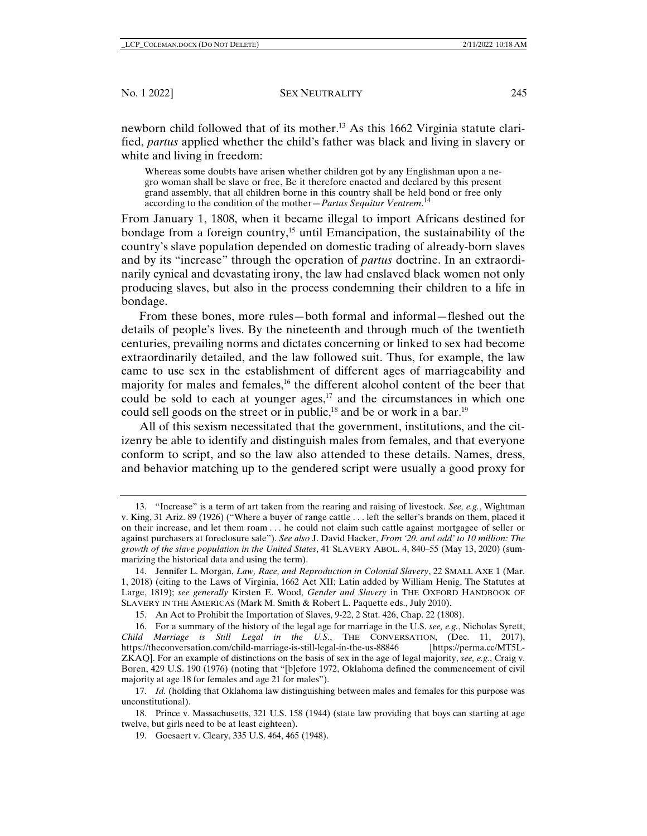newborn child followed that of its mother.13 As this 1662 Virginia statute clarified, *partus* applied whether the child's father was black and living in slavery or white and living in freedom:

Whereas some doubts have arisen whether children got by any Englishman upon a negro woman shall be slave or free, Be it therefore enacted and declared by this present grand assembly, that all children borne in this country shall be held bond or free only according to the condition of the mother—*Partus Sequitur Ventrem*. 14

From January 1, 1808, when it became illegal to import Africans destined for bondage from a foreign country,<sup>15</sup> until Emancipation, the sustainability of the country's slave population depended on domestic trading of already-born slaves and by its "increase" through the operation of *partus* doctrine. In an extraordinarily cynical and devastating irony, the law had enslaved black women not only producing slaves, but also in the process condemning their children to a life in bondage.

From these bones, more rules—both formal and informal—fleshed out the details of people's lives. By the nineteenth and through much of the twentieth centuries, prevailing norms and dictates concerning or linked to sex had become extraordinarily detailed, and the law followed suit. Thus, for example, the law came to use sex in the establishment of different ages of marriageability and majority for males and females,16 the different alcohol content of the beer that could be sold to each at younger ages, $17$  and the circumstances in which one could sell goods on the street or in public,<sup>18</sup> and be or work in a bar.<sup>19</sup>

All of this sexism necessitated that the government, institutions, and the citizenry be able to identify and distinguish males from females, and that everyone conform to script, and so the law also attended to these details. Names, dress, and behavior matching up to the gendered script were usually a good proxy for

 <sup>13. &</sup>quot;Increase" is a term of art taken from the rearing and raising of livestock. *See, e.g.*, Wightman v. King, 31 Ariz. 89 (1926) ("Where a buyer of range cattle . . . left the seller's brands on them, placed it on their increase, and let them roam . . . he could not claim such cattle against mortgagee of seller or against purchasers at foreclosure sale"). *See also* J. David Hacker, *From '20. and odd' to 10 million: The growth of the slave population in the United States*, 41 SLAVERY ABOL. 4, 840–55 (May 13, 2020) (summarizing the historical data and using the term).

 <sup>14.</sup> Jennifer L. Morgan, *Law, Race, and Reproduction in Colonial Slavery*, 22 SMALL AXE 1 (Mar. 1, 2018) (citing to the Laws of Virginia, 1662 Act XII; Latin added by William Henig, The Statutes at Large, 1819); *see generally* Kirsten E. Wood, *Gender and Slavery* in THE OXFORD HANDBOOK OF SLAVERY IN THE AMERICAS (Mark M. Smith & Robert L. Paquette eds., July 2010).

 <sup>15.</sup> An Act to Prohibit the Importation of Slaves, 9-22, 2 Stat. 426, Chap. 22 (1808).

 <sup>16.</sup> For a summary of the history of the legal age for marriage in the U.S. *see, e.g.*, Nicholas Syrett, *Child Marriage is Still Legal in the U.S*., THE CONVERSATION, (Dec. 11, 2017), https://theconversation.com/child-marriage-is-still-legal-in-the-us-88846 [https://perma.cc/MT5L-ZKAQ]. For an example of distinctions on the basis of sex in the age of legal majority, *see, e.g.*, Craig v. Boren, 429 U.S. 190 (1976) (noting that "[b]efore 1972, Oklahoma defined the commencement of civil majority at age 18 for females and age 21 for males").

 <sup>17.</sup> *Id.* (holding that Oklahoma law distinguishing between males and females for this purpose was unconstitutional).

 <sup>18.</sup> Prince v. Massachusetts, 321 U.S. 158 (1944) (state law providing that boys can starting at age twelve, but girls need to be at least eighteen).

 <sup>19.</sup> Goesaert v. Cleary, 335 U.S. 464, 465 (1948).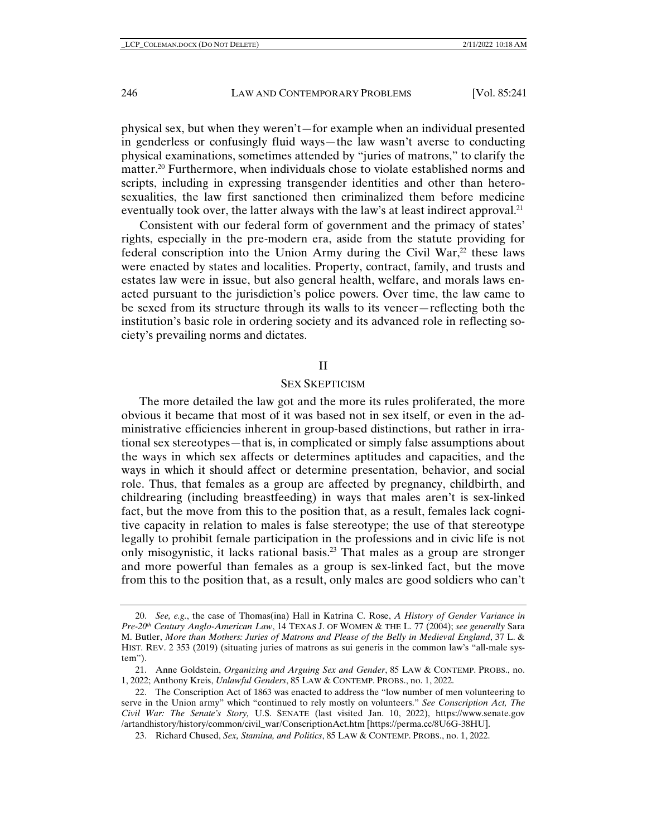physical sex, but when they weren't—for example when an individual presented in genderless or confusingly fluid ways—the law wasn't averse to conducting physical examinations, sometimes attended by "juries of matrons," to clarify the matter.<sup>20</sup> Furthermore, when individuals chose to violate established norms and scripts, including in expressing transgender identities and other than heterosexualities, the law first sanctioned then criminalized them before medicine eventually took over, the latter always with the law's at least indirect approval.<sup>21</sup>

Consistent with our federal form of government and the primacy of states' rights, especially in the pre-modern era, aside from the statute providing for federal conscription into the Union Army during the Civil War, $^{22}$  these laws were enacted by states and localities. Property, contract, family, and trusts and estates law were in issue, but also general health, welfare, and morals laws enacted pursuant to the jurisdiction's police powers. Over time, the law came to be sexed from its structure through its walls to its veneer—reflecting both the institution's basic role in ordering society and its advanced role in reflecting society's prevailing norms and dictates.

## II

#### SEX SKEPTICISM

The more detailed the law got and the more its rules proliferated, the more obvious it became that most of it was based not in sex itself, or even in the administrative efficiencies inherent in group-based distinctions, but rather in irrational sex stereotypes—that is, in complicated or simply false assumptions about the ways in which sex affects or determines aptitudes and capacities, and the ways in which it should affect or determine presentation, behavior, and social role. Thus, that females as a group are affected by pregnancy, childbirth, and childrearing (including breastfeeding) in ways that males aren't is sex-linked fact, but the move from this to the position that, as a result, females lack cognitive capacity in relation to males is false stereotype; the use of that stereotype legally to prohibit female participation in the professions and in civic life is not only misogynistic, it lacks rational basis.23 That males as a group are stronger and more powerful than females as a group is sex-linked fact, but the move from this to the position that, as a result, only males are good soldiers who can't

 <sup>20.</sup> *See, e.g.*, the case of Thomas(ina) Hall in Katrina C. Rose, *A History of Gender Variance in Pre-20th Century Anglo-American Law*, 14 TEXAS J. OF WOMEN & THE L. 77 (2004); *see generally* Sara M. Butler, *More than Mothers: Juries of Matrons and Please of the Belly in Medieval England*, 37 L. & HIST. REV. 2 353 (2019) (situating juries of matrons as sui generis in the common law's "all-male system").

 <sup>21.</sup> Anne Goldstein, *Organizing and Arguing Sex and Gender*, 85 LAW & CONTEMP. PROBS., no. 1, 2022; Anthony Kreis, *Unlawful Genders*, 85 LAW & CONTEMP. PROBS., no. 1, 2022.

 <sup>22.</sup> The Conscription Act of 1863 was enacted to address the "low number of men volunteering to serve in the Union army" which "continued to rely mostly on volunteers." *See Conscription Act, The Civil War: The Senate's Story,* U.S. SENATE (last visited Jan. 10, 2022), https://www.senate.gov /artandhistory/history/common/civil\_war/ConscriptionAct.htm [https://perma.cc/8U6G-38HU].

 <sup>23.</sup> Richard Chused, *Sex, Stamina, and Politics*, 85 LAW & CONTEMP. PROBS., no. 1, 2022.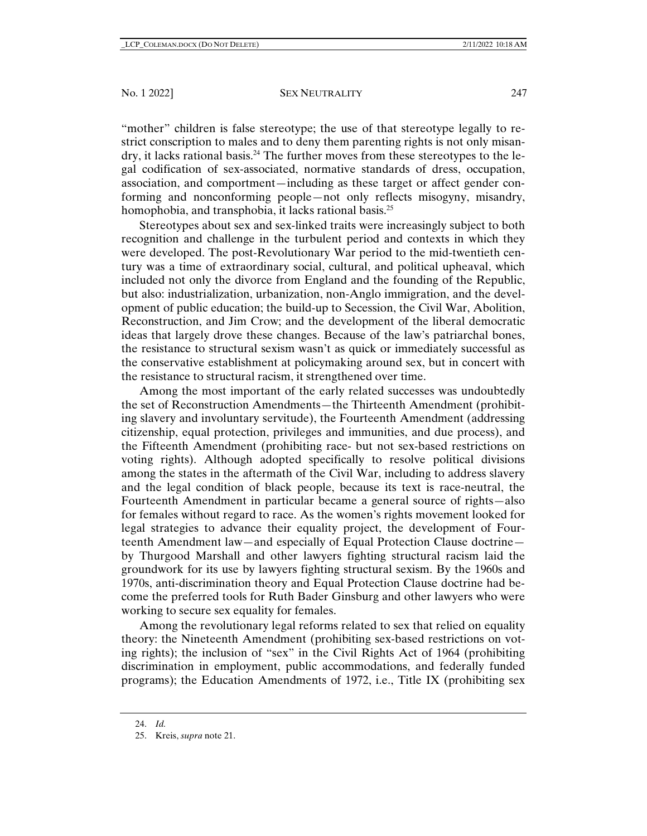"mother" children is false stereotype; the use of that stereotype legally to restrict conscription to males and to deny them parenting rights is not only misandry, it lacks rational basis.<sup>24</sup> The further moves from these stereotypes to the legal codification of sex-associated, normative standards of dress, occupation, association, and comportment—including as these target or affect gender conforming and nonconforming people—not only reflects misogyny, misandry, homophobia, and transphobia, it lacks rational basis.<sup>25</sup>

Stereotypes about sex and sex-linked traits were increasingly subject to both recognition and challenge in the turbulent period and contexts in which they were developed. The post-Revolutionary War period to the mid-twentieth century was a time of extraordinary social, cultural, and political upheaval, which included not only the divorce from England and the founding of the Republic, but also: industrialization, urbanization, non-Anglo immigration, and the development of public education; the build-up to Secession, the Civil War, Abolition, Reconstruction, and Jim Crow; and the development of the liberal democratic ideas that largely drove these changes. Because of the law's patriarchal bones, the resistance to structural sexism wasn't as quick or immediately successful as the conservative establishment at policymaking around sex, but in concert with the resistance to structural racism, it strengthened over time.

Among the most important of the early related successes was undoubtedly the set of Reconstruction Amendments—the Thirteenth Amendment (prohibiting slavery and involuntary servitude), the Fourteenth Amendment (addressing citizenship, equal protection, privileges and immunities, and due process), and the Fifteenth Amendment (prohibiting race- but not sex-based restrictions on voting rights). Although adopted specifically to resolve political divisions among the states in the aftermath of the Civil War, including to address slavery and the legal condition of black people, because its text is race-neutral, the Fourteenth Amendment in particular became a general source of rights—also for females without regard to race. As the women's rights movement looked for legal strategies to advance their equality project, the development of Fourteenth Amendment law—and especially of Equal Protection Clause doctrine by Thurgood Marshall and other lawyers fighting structural racism laid the groundwork for its use by lawyers fighting structural sexism. By the 1960s and 1970s, anti-discrimination theory and Equal Protection Clause doctrine had become the preferred tools for Ruth Bader Ginsburg and other lawyers who were working to secure sex equality for females.

Among the revolutionary legal reforms related to sex that relied on equality theory: the Nineteenth Amendment (prohibiting sex-based restrictions on voting rights); the inclusion of "sex" in the Civil Rights Act of 1964 (prohibiting discrimination in employment, public accommodations, and federally funded programs); the Education Amendments of 1972, i.e., Title IX (prohibiting sex

 <sup>24.</sup> *Id.*

 <sup>25.</sup> Kreis, *supra* note 21.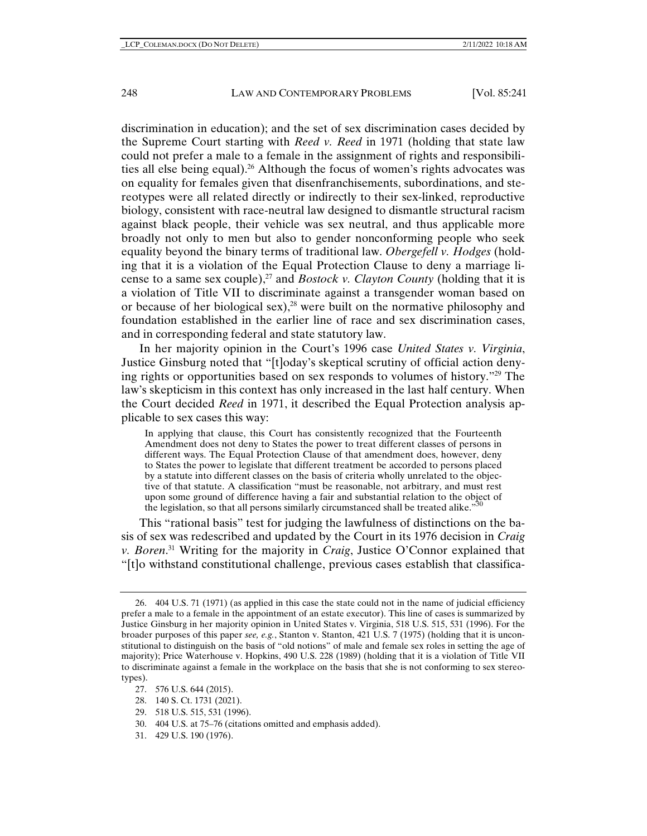discrimination in education); and the set of sex discrimination cases decided by the Supreme Court starting with *Reed v. Reed* in 1971 (holding that state law could not prefer a male to a female in the assignment of rights and responsibilities all else being equal).<sup>26</sup> Although the focus of women's rights advocates was on equality for females given that disenfranchisements, subordinations, and stereotypes were all related directly or indirectly to their sex-linked, reproductive biology, consistent with race-neutral law designed to dismantle structural racism against black people, their vehicle was sex neutral, and thus applicable more broadly not only to men but also to gender nonconforming people who seek equality beyond the binary terms of traditional law. *Obergefell v. Hodges* (holding that it is a violation of the Equal Protection Clause to deny a marriage license to a same sex couple),<sup>27</sup> and *Bostock v. Clayton County* (holding that it is a violation of Title VII to discriminate against a transgender woman based on or because of her biological sex),28 were built on the normative philosophy and foundation established in the earlier line of race and sex discrimination cases, and in corresponding federal and state statutory law.

In her majority opinion in the Court's 1996 case *United States v. Virginia*, Justice Ginsburg noted that "[t]oday's skeptical scrutiny of official action denying rights or opportunities based on sex responds to volumes of history."29 The law's skepticism in this context has only increased in the last half century. When the Court decided *Reed* in 1971, it described the Equal Protection analysis applicable to sex cases this way:

In applying that clause, this Court has consistently recognized that the Fourteenth Amendment does not deny to States the power to treat different classes of persons in different ways. The Equal Protection Clause of that amendment does, however, deny to States the power to legislate that different treatment be accorded to persons placed by a statute into different classes on the basis of criteria wholly unrelated to the objective of that statute. A classification "must be reasonable, not arbitrary, and must rest upon some ground of difference having a fair and substantial relation to the object of the legislation, so that all persons similarly circumstanced shall be treated alike."

This "rational basis" test for judging the lawfulness of distinctions on the basis of sex was redescribed and updated by the Court in its 1976 decision in *Craig v. Boren*. 31 Writing for the majority in *Craig*, Justice O'Connor explained that "[t]o withstand constitutional challenge, previous cases establish that classifica-

- 27. 576 U.S. 644 (2015).
- 28. 140 S. Ct. 1731 (2021).
- 29. 518 U.S. 515, 531 (1996).
- 30. 404 U.S. at 75–76 (citations omitted and emphasis added).
- 31. 429 U.S. 190 (1976).

 <sup>26. 404</sup> U.S. 71 (1971) (as applied in this case the state could not in the name of judicial efficiency prefer a male to a female in the appointment of an estate executor). This line of cases is summarized by Justice Ginsburg in her majority opinion in United States v. Virginia, 518 U.S. 515, 531 (1996). For the broader purposes of this paper *see, e.g.*, Stanton v. Stanton, 421 U.S. 7 (1975) (holding that it is unconstitutional to distinguish on the basis of "old notions" of male and female sex roles in setting the age of majority); Price Waterhouse v. Hopkins, 490 U.S. 228 (1989) (holding that it is a violation of Title VII to discriminate against a female in the workplace on the basis that she is not conforming to sex stereotypes).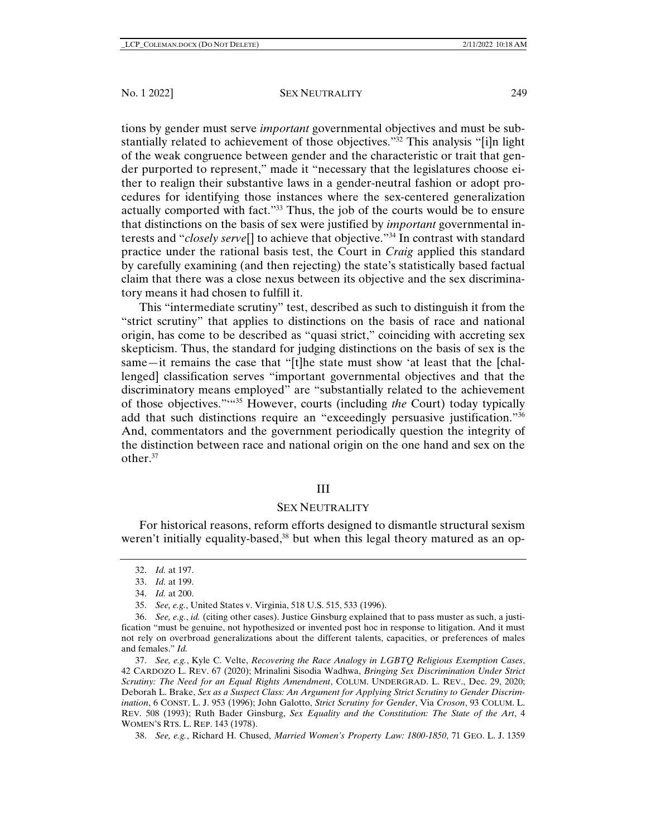tions by gender must serve *important* governmental objectives and must be substantially related to achievement of those objectives."32 This analysis "[i]n light of the weak congruence between gender and the characteristic or trait that gender purported to represent," made it "necessary that the legislatures choose either to realign their substantive laws in a gender-neutral fashion or adopt procedures for identifying those instances where the sex-centered generalization actually comported with fact."33 Thus, the job of the courts would be to ensure that distinctions on the basis of sex were justified by *important* governmental interests and "*closely serve*[] to achieve that objective."34 In contrast with standard practice under the rational basis test, the Court in *Craig* applied this standard by carefully examining (and then rejecting) the state's statistically based factual claim that there was a close nexus between its objective and the sex discriminatory means it had chosen to fulfill it.

This "intermediate scrutiny" test, described as such to distinguish it from the "strict scrutiny" that applies to distinctions on the basis of race and national origin, has come to be described as "quasi strict," coinciding with accreting sex skepticism. Thus, the standard for judging distinctions on the basis of sex is the same—it remains the case that "[t]he state must show 'at least that the [challenged] classification serves "important governmental objectives and that the discriminatory means employed" are "substantially related to the achievement of those objectives."'"35 However, courts (including *the* Court) today typically add that such distinctions require an "exceedingly persuasive justification."36 And, commentators and the government periodically question the integrity of the distinction between race and national origin on the one hand and sex on the other.37

# III

## SEX NEUTRALITY

For historical reasons, reform efforts designed to dismantle structural sexism weren't initially equality-based,<sup>38</sup> but when this legal theory matured as an op-

38. *See, e.g.*, Richard H. Chused, *Married Women's Property Law: 1800-1850*, 71 GEO. L. J. 1359

 <sup>32.</sup> *Id.* at 197.

 <sup>33.</sup> *Id.* at 199.

 <sup>34.</sup> *Id.* at 200.

 <sup>35.</sup> *See, e.g.*, United States v. Virginia, 518 U.S. 515, 533 (1996).

 <sup>36.</sup> *See, e.g.*, *id.* (citing other cases). Justice Ginsburg explained that to pass muster as such, a justification "must be genuine, not hypothesized or invented post hoc in response to litigation. And it must not rely on overbroad generalizations about the different talents, capacities, or preferences of males and females." *Id.*

 <sup>37.</sup> *See, e.g.*, Kyle C. Velte, *Recovering the Race Analogy in LGBTQ Religious Exemption Cases*, 42 CARDOZO L. REV. 67 (2020); Mrinalini Sisodia Wadhwa, *Bringing Sex Discrimination Under Strict Scrutiny: The Need for an Equal Rights Amendment*, COLUM. UNDERGRAD. L. REV., Dec. 29, 2020; Deborah L. Brake, *Sex as a Suspect Class: An Argument for Applying Strict Scrutiny to Gender Discrimination*, 6 CONST. L. J. 953 (1996); John Galotto, *Strict Scrutiny for Gender*, Via *Croson*, 93 COLUM. L. REV. 508 (1993); Ruth Bader Ginsburg, *Sex Equality and the Constitution: The State of the Art*, 4 WOMEN'S RTS. L. REP. 143 (1978).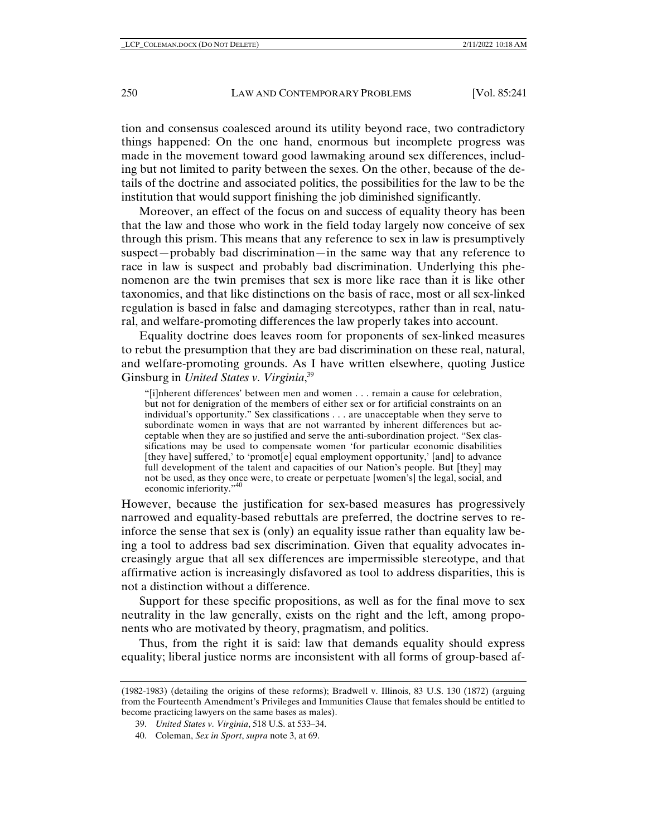tion and consensus coalesced around its utility beyond race, two contradictory things happened: On the one hand, enormous but incomplete progress was made in the movement toward good lawmaking around sex differences, including but not limited to parity between the sexes. On the other, because of the details of the doctrine and associated politics, the possibilities for the law to be the institution that would support finishing the job diminished significantly.

Moreover, an effect of the focus on and success of equality theory has been that the law and those who work in the field today largely now conceive of sex through this prism. This means that any reference to sex in law is presumptively suspect—probably bad discrimination—in the same way that any reference to race in law is suspect and probably bad discrimination. Underlying this phenomenon are the twin premises that sex is more like race than it is like other taxonomies, and that like distinctions on the basis of race, most or all sex-linked regulation is based in false and damaging stereotypes, rather than in real, natural, and welfare-promoting differences the law properly takes into account.

Equality doctrine does leaves room for proponents of sex-linked measures to rebut the presumption that they are bad discrimination on these real, natural, and welfare-promoting grounds. As I have written elsewhere, quoting Justice Ginsburg in *United States v. Virginia*, 39

"[i]nherent differences' between men and women . . . remain a cause for celebration, but not for denigration of the members of either sex or for artificial constraints on an individual's opportunity." Sex classifications . . . are unacceptable when they serve to subordinate women in ways that are not warranted by inherent differences but acceptable when they are so justified and serve the anti-subordination project. "Sex classifications may be used to compensate women 'for particular economic disabilities [they have] suffered,' to 'promot[e] equal employment opportunity,' [and] to advance full development of the talent and capacities of our Nation's people. But [they] may not be used, as they once were, to create or perpetuate [women's] the legal, social, and economic inferiority."40

However, because the justification for sex-based measures has progressively narrowed and equality-based rebuttals are preferred, the doctrine serves to reinforce the sense that sex is (only) an equality issue rather than equality law being a tool to address bad sex discrimination. Given that equality advocates increasingly argue that all sex differences are impermissible stereotype, and that affirmative action is increasingly disfavored as tool to address disparities, this is not a distinction without a difference.

Support for these specific propositions, as well as for the final move to sex neutrality in the law generally, exists on the right and the left, among proponents who are motivated by theory, pragmatism, and politics.

Thus, from the right it is said: law that demands equality should express equality; liberal justice norms are inconsistent with all forms of group-based af-

<sup>(1982-1983) (</sup>detailing the origins of these reforms); Bradwell v. Illinois, 83 U.S. 130 (1872) (arguing from the Fourteenth Amendment's Privileges and Immunities Clause that females should be entitled to become practicing lawyers on the same bases as males).

 <sup>39.</sup> *United States v. Virginia*, 518 U.S. at 533–34.

 <sup>40.</sup> Coleman, *Sex in Sport*, *supra* note 3, at 69.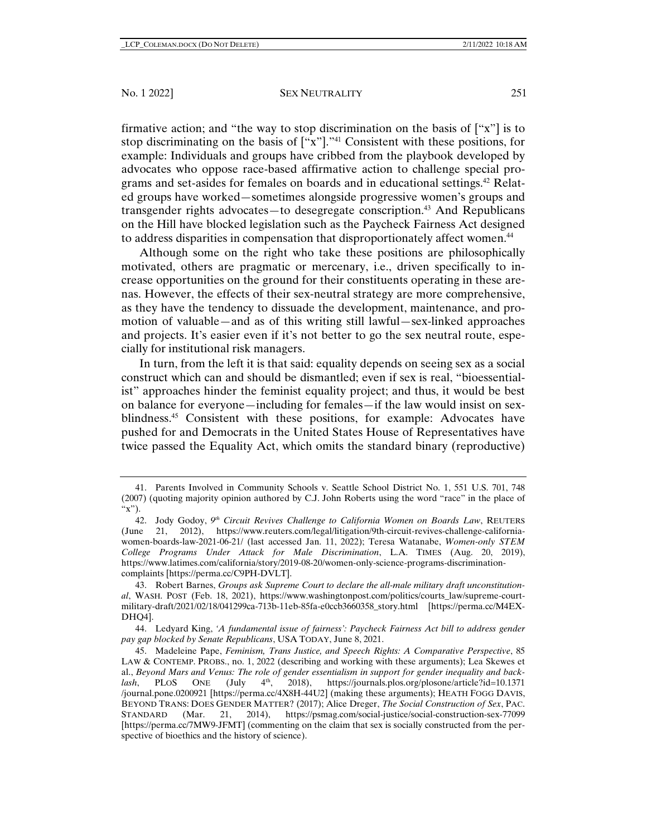#### No. 1 2022] SEX NEUTRALITY 251

firmative action; and "the way to stop discrimination on the basis of  $[$ "x" $]$  is to stop discriminating on the basis of  $[$ "x" $]$ ."<sup>41</sup> Consistent with these positions, for example: Individuals and groups have cribbed from the playbook developed by advocates who oppose race-based affirmative action to challenge special programs and set-asides for females on boards and in educational settings.42 Related groups have worked—sometimes alongside progressive women's groups and transgender rights advocates—to desegregate conscription.43 And Republicans on the Hill have blocked legislation such as the Paycheck Fairness Act designed to address disparities in compensation that disproportionately affect women.<sup>44</sup>

Although some on the right who take these positions are philosophically motivated, others are pragmatic or mercenary, i.e., driven specifically to increase opportunities on the ground for their constituents operating in these arenas. However, the effects of their sex-neutral strategy are more comprehensive, as they have the tendency to dissuade the development, maintenance, and promotion of valuable—and as of this writing still lawful—sex-linked approaches and projects. It's easier even if it's not better to go the sex neutral route, especially for institutional risk managers.

In turn, from the left it is that said: equality depends on seeing sex as a social construct which can and should be dismantled; even if sex is real, "bioessentialist" approaches hinder the feminist equality project; and thus, it would be best on balance for everyone—including for females—if the law would insist on sexblindness.<sup>45</sup> Consistent with these positions, for example: Advocates have pushed for and Democrats in the United States House of Representatives have twice passed the Equality Act, which omits the standard binary (reproductive)

 44. Ledyard King, *'A fundamental issue of fairness': Paycheck Fairness Act bill to address gender pay gap blocked by Senate Republicans*, USA TODAY, June 8, 2021.

 <sup>41.</sup> Parents Involved in Community Schools v. Seattle School District No. 1, 551 U.S. 701, 748 (2007) (quoting majority opinion authored by C.J. John Roberts using the word "race" in the place of " $(x")$ .

 <sup>42.</sup> Jody Godoy, *9th Circuit Revives Challenge to California Women on Boards Law*, REUTERS (June 21, 2012), https://www.reuters.com/legal/litigation/9th-circuit-revives-challenge-californiawomen-boards-law-2021-06-21/ (last accessed Jan. 11, 2022); Teresa Watanabe, *Women-only STEM College Programs Under Attack for Male Discrimination*, L.A. TIMES (Aug. 20, 2019), https://www.latimes.com/california/story/2019-08-20/women-only-science-programs-discriminationcomplaints [https://perma.cc/C9PH-DVLT].

 <sup>43.</sup> Robert Barnes, *Groups ask Supreme Court to declare the all-male military draft unconstitutional*, WASH. POST (Feb. 18, 2021), https://www.washingtonpost.com/politics/courts\_law/supreme-courtmilitary-draft/2021/02/18/041299ca-713b-11eb-85fa-e0ccb3660358\_story.html [https://perma.cc/M4EX-DHQ4].

 <sup>45.</sup> Madeleine Pape, *Feminism, Trans Justice, and Speech Rights: A Comparative Perspective*, 85 LAW & CONTEMP. PROBS., no. 1, 2022 (describing and working with these arguments); Lea Skewes et al., *Beyond Mars and Venus: The role of gender essentialism in support for gender inequality and back-lash*, PLOS ONE (July  $4<sup>th</sup>$ , 2018), https://journals.plos.org/plosone/article?id=10.1371 *lash*, PLOS ONE (July  $4<sup>th</sup>$ , 2018), https://journals.plos.org/plosone/article?id=10.1371 /journal.pone.0200921 [https://perma.cc/4X8H-44U2] (making these arguments); HEATH FOGG DAVIS, BEYOND TRANS: DOES GENDER MATTER? (2017); Alice Dreger, *The Social Construction of Sex*, PAC. STANDARD (Mar. 21, 2014), https://psmag.com/social-justice/social-construction-sex-77099 [https://perma.cc/7MW9-JFMT] (commenting on the claim that sex is socially constructed from the perspective of bioethics and the history of science).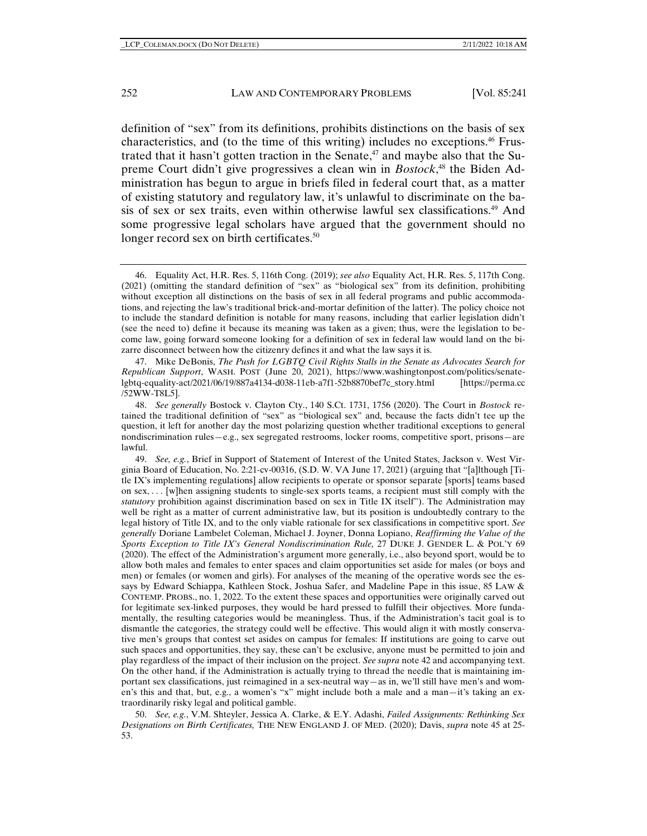definition of "sex" from its definitions, prohibits distinctions on the basis of sex characteristics, and (to the time of this writing) includes no exceptions.46 Frustrated that it hasn't gotten traction in the Senate, $47$  and maybe also that the Supreme Court didn't give progressives a clean win in *Bostock*, 48 the Biden Administration has begun to argue in briefs filed in federal court that, as a matter of existing statutory and regulatory law, it's unlawful to discriminate on the basis of sex or sex traits, even within otherwise lawful sex classifications.<sup>49</sup> And some progressive legal scholars have argued that the government should no longer record sex on birth certificates.<sup>50</sup>

 47. Mike DeBonis, *The Push for LGBTQ Civil Rights Stalls in the Senate as Advocates Search for Republican Support*, WASH. POST (June 20, 2021), https://www.washingtonpost.com/politics/senatelgbtq-equality-act/2021/06/19/887a4134-d038-11eb-a7f1-52b8870bef7c\_story.html [https://perma.cc /52WW-T8L5].

 49. *See, e.g.*, Brief in Support of Statement of Interest of the United States, Jackson v. West Virginia Board of Education, No. 2:21-cv-00316, (S.D. W. VA June 17, 2021) (arguing that "[a]lthough [Title IX's implementing regulations] allow recipients to operate or sponsor separate [sports] teams based on sex, . . . [w]hen assigning students to single-sex sports teams, a recipient must still comply with the *statutory* prohibition against discrimination based on sex in Title IX itself"). The Administration may well be right as a matter of current administrative law, but its position is undoubtedly contrary to the legal history of Title IX, and to the only viable rationale for sex classifications in competitive sport. *See generally* Doriane Lambelet Coleman, Michael J. Joyner, Donna Lopiano, *Reaffirming the Value of the Sports Exception to Title IX's General Nondiscrimination Rule,* 27 DUKE J. GENDER L. & POL'Y 69 (2020). The effect of the Administration's argument more generally, i.e., also beyond sport, would be to allow both males and females to enter spaces and claim opportunities set aside for males (or boys and men) or females (or women and girls). For analyses of the meaning of the operative words see the essays by Edward Schiappa, Kathleen Stock, Joshua Safer, and Madeline Pape in this issue, 85 LAW & CONTEMP. PROBS., no. 1, 2022. To the extent these spaces and opportunities were originally carved out for legitimate sex-linked purposes, they would be hard pressed to fulfill their objectives. More fundamentally, the resulting categories would be meaningless. Thus, if the Administration's tacit goal is to dismantle the categories, the strategy could well be effective. This would align it with mostly conservative men's groups that contest set asides on campus for females: If institutions are going to carve out such spaces and opportunities, they say, these can't be exclusive, anyone must be permitted to join and play regardless of the impact of their inclusion on the project. *See supra* note 42 and accompanying text. On the other hand, if the Administration is actually trying to thread the needle that is maintaining important sex classifications, just reimagined in a sex-neutral way—as in, we'll still have men's and women's this and that, but, e.g., a women's "x" might include both a male and a man—it's taking an extraordinarily risky legal and political gamble.

 50. *See, e.g.*, V.M. Shteyler, Jessica A. Clarke, & E.Y. Adashi, *Failed Assignments: Rethinking Sex Designations on Birth Certificates,* THE NEW ENGLAND J. OF MED. (2020); Davis, *supra* note 45 at 25- 53.

 <sup>46.</sup> Equality Act, H.R. Res. 5, 116th Cong. (2019); *see also* Equality Act, H.R. Res. 5, 117th Cong. (2021) (omitting the standard definition of "sex" as "biological sex" from its definition, prohibiting without exception all distinctions on the basis of sex in all federal programs and public accommodations, and rejecting the law's traditional brick-and-mortar definition of the latter). The policy choice not to include the standard definition is notable for many reasons, including that earlier legislation didn't (see the need to) define it because its meaning was taken as a given; thus, were the legislation to become law, going forward someone looking for a definition of sex in federal law would land on the bizarre disconnect between how the citizenry defines it and what the law says it is.

 <sup>48.</sup> *See generally* Bostock v. Clayton Cty., 140 S.Ct. 1731, 1756 (2020). The Court in *Bostock* retained the traditional definition of "sex" as "biological sex" and, because the facts didn't tee up the question, it left for another day the most polarizing question whether traditional exceptions to general nondiscrimination rules—e.g., sex segregated restrooms, locker rooms, competitive sport, prisons—are lawful.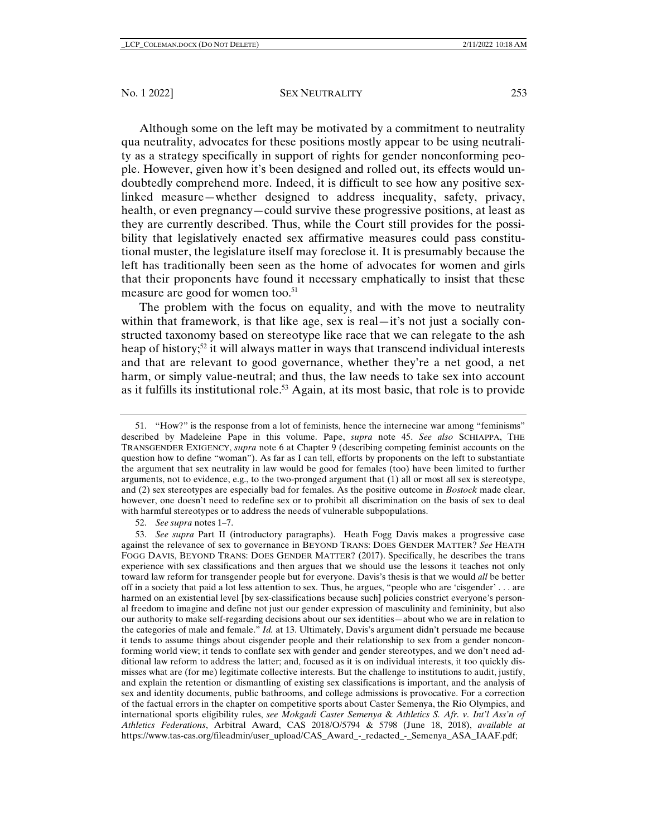#### No. 1 2022] SEX NEUTRALITY 253

Although some on the left may be motivated by a commitment to neutrality qua neutrality, advocates for these positions mostly appear to be using neutrality as a strategy specifically in support of rights for gender nonconforming people. However, given how it's been designed and rolled out, its effects would undoubtedly comprehend more. Indeed, it is difficult to see how any positive sexlinked measure—whether designed to address inequality, safety, privacy, health, or even pregnancy—could survive these progressive positions, at least as they are currently described. Thus, while the Court still provides for the possibility that legislatively enacted sex affirmative measures could pass constitutional muster, the legislature itself may foreclose it. It is presumably because the left has traditionally been seen as the home of advocates for women and girls that their proponents have found it necessary emphatically to insist that these measure are good for women too.<sup>51</sup>

The problem with the focus on equality, and with the move to neutrality within that framework, is that like age, sex is real—it's not just a socially constructed taxonomy based on stereotype like race that we can relegate to the ash heap of history;<sup>52</sup> it will always matter in ways that transcend individual interests and that are relevant to good governance, whether they're a net good, a net harm, or simply value-neutral; and thus, the law needs to take sex into account as it fulfills its institutional role.<sup>53</sup> Again, at its most basic, that role is to provide

52. *See supra* notes 1–7.

 53. *See supra* Part II (introductory paragraphs). Heath Fogg Davis makes a progressive case against the relevance of sex to governance in BEYOND TRANS: DOES GENDER MATTER? *See* HEATH FOGG DAVIS, BEYOND TRANS: DOES GENDER MATTER? (2017). Specifically, he describes the trans experience with sex classifications and then argues that we should use the lessons it teaches not only toward law reform for transgender people but for everyone. Davis's thesis is that we would *all* be better off in a society that paid a lot less attention to sex. Thus, he argues, "people who are 'cisgender' . . . are harmed on an existential level [by sex-classifications because such] policies constrict everyone's personal freedom to imagine and define not just our gender expression of masculinity and femininity, but also our authority to make self-regarding decisions about our sex identities—about who we are in relation to the categories of male and female." *Id.* at 13. Ultimately, Davis's argument didn't persuade me because it tends to assume things about cisgender people and their relationship to sex from a gender nonconforming world view; it tends to conflate sex with gender and gender stereotypes, and we don't need additional law reform to address the latter; and, focused as it is on individual interests, it too quickly dismisses what are (for me) legitimate collective interests. But the challenge to institutions to audit, justify, and explain the retention or dismantling of existing sex classifications is important, and the analysis of sex and identity documents, public bathrooms, and college admissions is provocative. For a correction of the factual errors in the chapter on competitive sports about Caster Semenya, the Rio Olympics, and international sports eligibility rules, *see Mokgadi Caster Semenya* & *Athletics S. Afr. v. Int'l Ass'n of Athletics Federations*, Arbitral Award, CAS 2018/O/5794 & 5798 (June 18, 2018), *available at* https://www.tas-cas.org/fileadmin/user\_upload/CAS\_Award\_-\_redacted\_-\_Semenya\_ASA\_IAAF.pdf;

 <sup>51. &</sup>quot;How?" is the response from a lot of feminists, hence the internecine war among "feminisms" described by Madeleine Pape in this volume. Pape, *supra* note 45. *See also* SCHIAPPA, THE TRANSGENDER EXIGENCY, *supra* note 6 at Chapter 9 (describing competing feminist accounts on the question how to define "woman"). As far as I can tell, efforts by proponents on the left to substantiate the argument that sex neutrality in law would be good for females (too) have been limited to further arguments, not to evidence, e.g., to the two-pronged argument that (1) all or most all sex is stereotype, and (2) sex stereotypes are especially bad for females. As the positive outcome in *Bostock* made clear, however, one doesn't need to redefine sex or to prohibit all discrimination on the basis of sex to deal with harmful stereotypes or to address the needs of vulnerable subpopulations.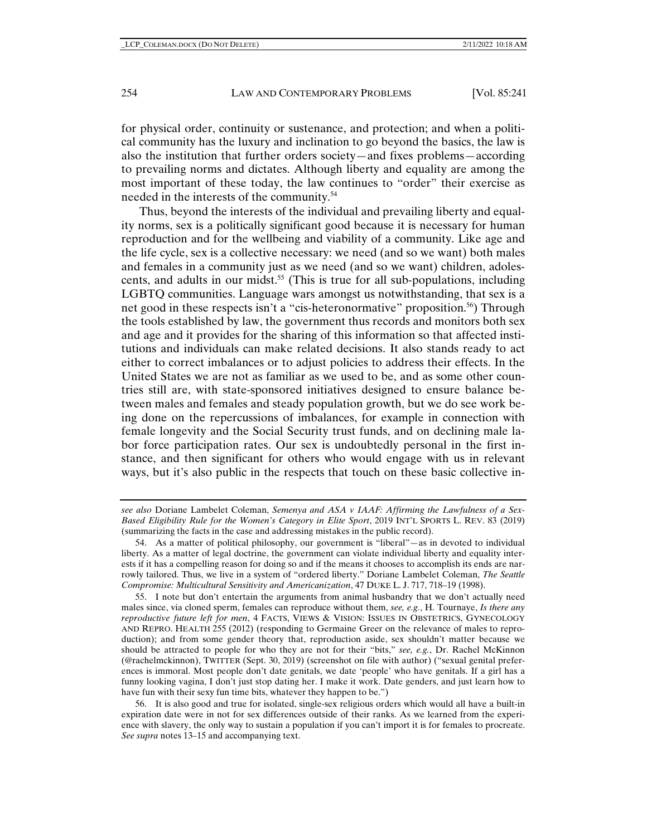for physical order, continuity or sustenance, and protection; and when a political community has the luxury and inclination to go beyond the basics, the law is also the institution that further orders society—and fixes problems—according to prevailing norms and dictates. Although liberty and equality are among the most important of these today, the law continues to "order" their exercise as needed in the interests of the community.54

Thus, beyond the interests of the individual and prevailing liberty and equality norms, sex is a politically significant good because it is necessary for human reproduction and for the wellbeing and viability of a community. Like age and the life cycle, sex is a collective necessary: we need (and so we want) both males and females in a community just as we need (and so we want) children, adolescents, and adults in our midst.<sup>55</sup> (This is true for all sub-populations, including LGBTQ communities. Language wars amongst us notwithstanding, that sex is a net good in these respects isn't a "cis-heteronormative" proposition.<sup>56</sup>) Through the tools established by law, the government thus records and monitors both sex and age and it provides for the sharing of this information so that affected institutions and individuals can make related decisions. It also stands ready to act either to correct imbalances or to adjust policies to address their effects. In the United States we are not as familiar as we used to be, and as some other countries still are, with state-sponsored initiatives designed to ensure balance between males and females and steady population growth, but we do see work being done on the repercussions of imbalances, for example in connection with female longevity and the Social Security trust funds, and on declining male labor force participation rates. Our sex is undoubtedly personal in the first instance, and then significant for others who would engage with us in relevant ways, but it's also public in the respects that touch on these basic collective in-

 56. It is also good and true for isolated, single-sex religious orders which would all have a built-in expiration date were in not for sex differences outside of their ranks. As we learned from the experience with slavery, the only way to sustain a population if you can't import it is for females to procreate. *See supra* notes 13–15 and accompanying text.

*see also* Doriane Lambelet Coleman, *Semenya and ASA v IAAF: Affirming the Lawfulness of a Sex-Based Eligibility Rule for the Women's Category in Elite Sport*, 2019 INT'L SPORTS L. REV. 83 (2019) (summarizing the facts in the case and addressing mistakes in the public record).

 <sup>54.</sup> As a matter of political philosophy, our government is "liberal"—as in devoted to individual liberty. As a matter of legal doctrine, the government can violate individual liberty and equality interests if it has a compelling reason for doing so and if the means it chooses to accomplish its ends are narrowly tailored. Thus, we live in a system of "ordered liberty." Doriane Lambelet Coleman, *The Seattle Compromise: Multicultural Sensitivity and Americanization*, 47 DUKE L. J. 717, 718–19 (1998).

 <sup>55.</sup> I note but don't entertain the arguments from animal husbandry that we don't actually need males since, via cloned sperm, females can reproduce without them, *see, e.g.*, H. Tournaye, *Is there any reproductive future left for men*, 4 FACTS, VIEWS & VISION: ISSUES IN OBSTETRICS, GYNECOLOGY AND REPRO. HEALTH 255 (2012) (responding to Germaine Greer on the relevance of males to reproduction); and from some gender theory that, reproduction aside, sex shouldn't matter because we should be attracted to people for who they are not for their "bits," *see, e.g.*, Dr. Rachel McKinnon (@rachelmckinnon), TWITTER (Sept. 30, 2019) (screenshot on file with author) ("sexual genital preferences is immoral. Most people don't date genitals, we date 'people' who have genitals. If a girl has a funny looking vagina, I don't just stop dating her. I make it work. Date genders, and just learn how to have fun with their sexy fun time bits, whatever they happen to be.")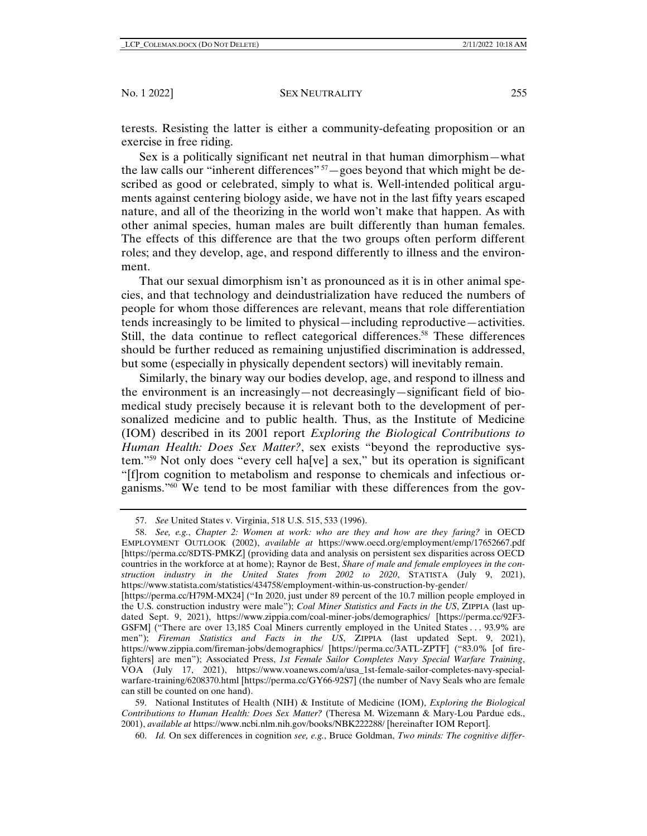terests. Resisting the latter is either a community-defeating proposition or an exercise in free riding.

Sex is a politically significant net neutral in that human dimorphism—what the law calls our "inherent differences"  $57$  – goes beyond that which might be described as good or celebrated, simply to what is. Well-intended political arguments against centering biology aside, we have not in the last fifty years escaped nature, and all of the theorizing in the world won't make that happen. As with other animal species, human males are built differently than human females. The effects of this difference are that the two groups often perform different roles; and they develop, age, and respond differently to illness and the environment.

That our sexual dimorphism isn't as pronounced as it is in other animal species, and that technology and deindustrialization have reduced the numbers of people for whom those differences are relevant, means that role differentiation tends increasingly to be limited to physical—including reproductive—activities. Still, the data continue to reflect categorical differences.<sup>58</sup> These differences should be further reduced as remaining unjustified discrimination is addressed, but some (especially in physically dependent sectors) will inevitably remain.

Similarly, the binary way our bodies develop, age, and respond to illness and the environment is an increasingly—not decreasingly—significant field of biomedical study precisely because it is relevant both to the development of personalized medicine and to public health. Thus, as the Institute of Medicine (IOM) described in its 2001 report *Exploring the Biological Contributions to Human Health: Does Sex Matter?*, sex exists "beyond the reproductive system."59 Not only does "every cell ha[ve] a sex," but its operation is significant "[f]rom cognition to metabolism and response to chemicals and infectious organisms."60 We tend to be most familiar with these differences from the gov-

 <sup>57.</sup> *See* United States v. Virginia, 518 U.S. 515, 533 (1996).

 <sup>58.</sup> *See, e.g.*, *Chapter 2: Women at work: who are they and how are they faring?* in OECD EMPLOYMENT OUTLOOK (2002), *available at* https://www.oecd.org/employment/emp/17652667.pdf [https://perma.cc/8DTS-PMKZ] (providing data and analysis on persistent sex disparities across OECD countries in the workforce at at home); Raynor de Best, *Share of male and female employees in the construction industry in the United States from 2002 to 2020*, STATISTA (July 9, 2021), https://www.statista.com/statistics/434758/employment-within-us-construction-by-gender/

<sup>[</sup>https://perma.cc/H79M-MX24] ("In 2020, just under 89 percent of the 10.7 million people employed in the U.S. construction industry were male"); *Coal Miner Statistics and Facts in the US*, ZIPPIA (last updated Sept. 9, 2021), https://www.zippia.com/coal-miner-jobs/demographics/ [https://perma.cc/92F3- GSFM] ("There are over 13,185 Coal Miners currently employed in the United States . . . 93.9% are men"); *Fireman Statistics and Facts in the US*, ZIPPIA (last updated Sept. 9, 2021), https://www.zippia.com/fireman-jobs/demographics/ [https://perma.cc/3ATL-ZPTF] ("83.0% [of firefighters] are men"); Associated Press, *1st Female Sailor Completes Navy Special Warfare Training*, VOA (July 17, 2021), https://www.voanews.com/a/usa\_1st-female-sailor-completes-navy-specialwarfare-training/6208370.html [https://perma.cc/GY66-92S7] (the number of Navy Seals who are female can still be counted on one hand).

 <sup>59.</sup> National Institutes of Health (NIH) & Institute of Medicine (IOM), *Exploring the Biological Contributions to Human Health: Does Sex Matter?* (Theresa M. Wizemann & Mary-Lou Pardue eds., 2001), *available at* https://www.ncbi.nlm.nih.gov/books/NBK222288/ [hereinafter IOM Report].

 <sup>60.</sup> *Id.* On sex differences in cognition *see, e.g.*, Bruce Goldman, *Two minds: The cognitive differ-*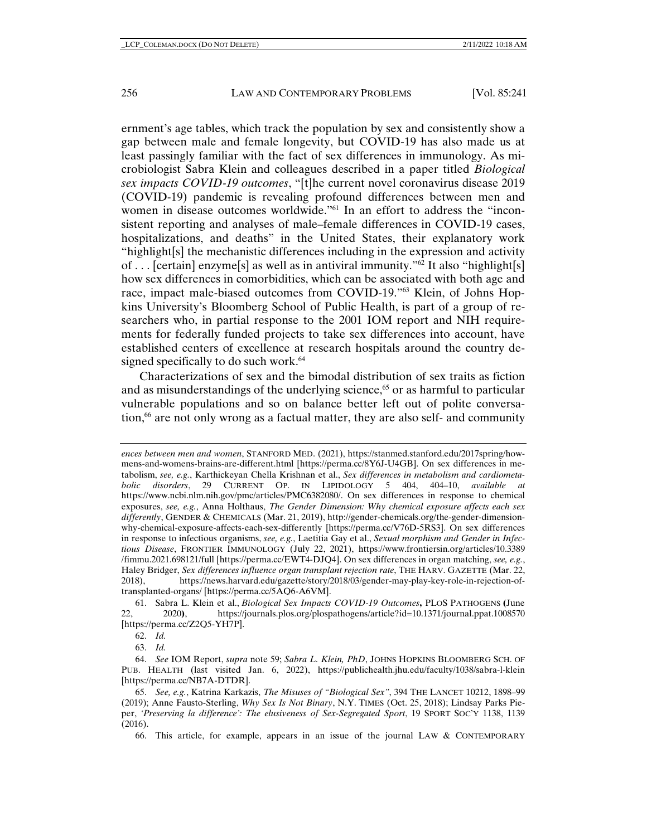ernment's age tables, which track the population by sex and consistently show a gap between male and female longevity, but COVID-19 has also made us at least passingly familiar with the fact of sex differences in immunology. As microbiologist Sabra Klein and colleagues described in a paper titled *Biological sex impacts COVID-19 outcomes*, "[t]he current novel coronavirus disease 2019 (COVID-19) pandemic is revealing profound differences between men and women in disease outcomes worldwide."<sup>61</sup> In an effort to address the "inconsistent reporting and analyses of male–female differences in COVID-19 cases, hospitalizations, and deaths" in the United States, their explanatory work "highlight[s] the mechanistic differences including in the expression and activity of . . . [certain] enzyme[s] as well as in antiviral immunity."62 It also "highlight[s] how sex differences in comorbidities, which can be associated with both age and race, impact male-biased outcomes from COVID-19."63 Klein, of Johns Hopkins University's Bloomberg School of Public Health, is part of a group of researchers who, in partial response to the 2001 IOM report and NIH requirements for federally funded projects to take sex differences into account, have established centers of excellence at research hospitals around the country designed specifically to do such work.<sup>64</sup>

Characterizations of sex and the bimodal distribution of sex traits as fiction and as misunderstandings of the underlying science, $65$  or as harmful to particular vulnerable populations and so on balance better left out of polite conversation, $66$  are not only wrong as a factual matter, they are also self- and community

62. *Id.*

63. *Id.*

66. This article, for example, appears in an issue of the journal LAW & CONTEMPORARY

*ences between men and women*, STANFORD MED. (2021), https://stanmed.stanford.edu/2017spring/howmens-and-womens-brains-are-different.html [https://perma.cc/8Y6J-U4GB]. On sex differences in metabolism, *see, e.g.*, Karthickeyan Chella Krishnan et al., *Sex differences in metabolism and cardiometabolic disorders*, 29 CURRENT OP. IN LIPIDOLOGY 5 404, 404–10, *available at*  https://www.ncbi.nlm.nih.gov/pmc/articles/PMC6382080/. On sex differences in response to chemical exposures, *see, e.g.*, Anna Holthaus, *The Gender Dimension: Why chemical exposure affects each sex differently*, GENDER & CHEMICALS (Mar. 21, 2019), http://gender-chemicals.org/the-gender-dimensionwhy-chemical-exposure-affects-each-sex-differently [https://perma.cc/V76D-5RS3]. On sex differences in response to infectious organisms, *see, e.g.*, Laetitia Gay et al., *Sexual morphism and Gender in Infectious Disease*, FRONTIER IMMUNOLOGY (July 22, 2021), https://www.frontiersin.org/articles/10.3389 /fimmu.2021.698121/full [https://perma.cc/EWT4-DJQ4]. On sex differences in organ matching, *see, e.g.*, Haley Bridger, *Sex differences influence organ transplant rejection rate*, THE HARV. GAZETTE (Mar. 22, 2018), https://news.harvard.edu/gazette/story/2018/03/gender-may-play-key-role-in-rejection-oftransplanted-organs/ [https://perma.cc/5AQ6-A6VM].

 <sup>61.</sup> Sabra L. Klein et al., *Biological Sex Impacts COVID-19 Outcomes***,** PLOS PATHOGENS **(**June 22, 2020**)**, https://journals.plos.org/plospathogens/article?id=10.1371/journal.ppat.1008570 [https://perma.cc/Z2Q5-YH7P].

 <sup>64.</sup> *See* IOM Report, *supra* note 59; *Sabra L. Klein, PhD*, JOHNS HOPKINS BLOOMBERG SCH. OF PUB. HEALTH (last visited Jan. 6, 2022), https://publichealth.jhu.edu/faculty/1038/sabra-l-klein [https://perma.cc/NB7A-DTDR].

 <sup>65.</sup> *See, e.g.*, Katrina Karkazis, *The Misuses of "Biological Sex"*, 394 THE LANCET 10212, 1898–99 (2019); Anne Fausto-Sterling, *Why Sex Is Not Binary*, N.Y. TIMES (Oct. 25, 2018); Lindsay Parks Pieper, *'Preserving la difference': The elusiveness of Sex-Segregated Sport*, 19 SPORT SOC'Y 1138, 1139 (2016).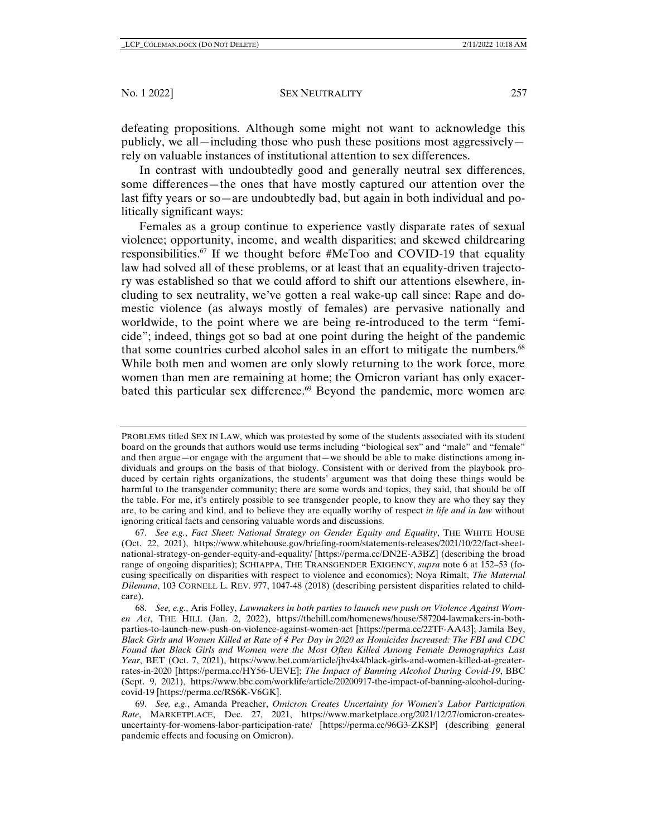defeating propositions. Although some might not want to acknowledge this publicly, we all—including those who push these positions most aggressively rely on valuable instances of institutional attention to sex differences.

In contrast with undoubtedly good and generally neutral sex differences, some differences—the ones that have mostly captured our attention over the last fifty years or so—are undoubtedly bad, but again in both individual and politically significant ways:

Females as a group continue to experience vastly disparate rates of sexual violence; opportunity, income, and wealth disparities; and skewed childrearing responsibilities.67 If we thought before #MeToo and COVID-19 that equality law had solved all of these problems, or at least that an equality-driven trajectory was established so that we could afford to shift our attentions elsewhere, including to sex neutrality, we've gotten a real wake-up call since: Rape and domestic violence (as always mostly of females) are pervasive nationally and worldwide, to the point where we are being re-introduced to the term "femicide"; indeed, things got so bad at one point during the height of the pandemic that some countries curbed alcohol sales in an effort to mitigate the numbers.<sup>68</sup> While both men and women are only slowly returning to the work force, more women than men are remaining at home; the Omicron variant has only exacerbated this particular sex difference.<sup>69</sup> Beyond the pandemic, more women are

PROBLEMS titled SEX IN LAW, which was protested by some of the students associated with its student board on the grounds that authors would use terms including "biological sex" and "male" and "female" and then argue—or engage with the argument that—we should be able to make distinctions among individuals and groups on the basis of that biology. Consistent with or derived from the playbook produced by certain rights organizations, the students' argument was that doing these things would be harmful to the transgender community; there are some words and topics, they said, that should be off the table. For me, it's entirely possible to see transgender people, to know they are who they say they are, to be caring and kind, and to believe they are equally worthy of respect *in life and in law* without ignoring critical facts and censoring valuable words and discussions.

 <sup>67.</sup> *See e.g.*, *Fact Sheet: National Strategy on Gender Equity and Equality*, THE WHITE HOUSE (Oct. 22, 2021), https://www.whitehouse.gov/briefing-room/statements-releases/2021/10/22/fact-sheetnational-strategy-on-gender-equity-and-equality/ [https://perma.cc/DN2E-A3BZ] (describing the broad range of ongoing disparities); SCHIAPPA, THE TRANSGENDER EXIGENCY, *supra* note 6 at 152–53 (focusing specifically on disparities with respect to violence and economics); Noya Rimalt, *The Maternal Dilemma*, 103 CORNELL L. REV. 977, 1047-48 (2018) (describing persistent disparities related to childcare).

 <sup>68.</sup> *See, e.g.*, Aris Folley, *Lawmakers in both parties to launch new push on Violence Against Women Act*, THE HILL (Jan. 2, 2022), https://thehill.com/homenews/house/587204-lawmakers-in-bothparties-to-launch-new-push-on-violence-against-women-act [https://perma.cc/22TF-AA43]; Jamila Bey, *Black Girls and Women Killed at Rate of 4 Per Day in 2020 as Homicides Increased: The FBI and CDC Found that Black Girls and Women were the Most Often Killed Among Female Demographics Last Year*, BET (Oct. 7, 2021), https://www.bet.com/article/jhv4x4/black-girls-and-women-killed-at-greaterrates-in-2020 [https://perma.cc/HY56-UEVE]; *The Impact of Banning Alcohol During Covid-19*, BBC (Sept. 9, 2021), https://www.bbc.com/worklife/article/20200917-the-impact-of-banning-alcohol-duringcovid-19 [https://perma.cc/RS6K-V6GK].

 <sup>69.</sup> *See, e.g.*, Amanda Preacher, *Omicron Creates Uncertainty for Women's Labor Participation Rate*, MARKETPLACE, Dec. 27, 2021, https://www.marketplace.org/2021/12/27/omicron-createsuncertainty-for-womens-labor-participation-rate/ [https://perma.cc/96G3-ZKSP] (describing general pandemic effects and focusing on Omicron).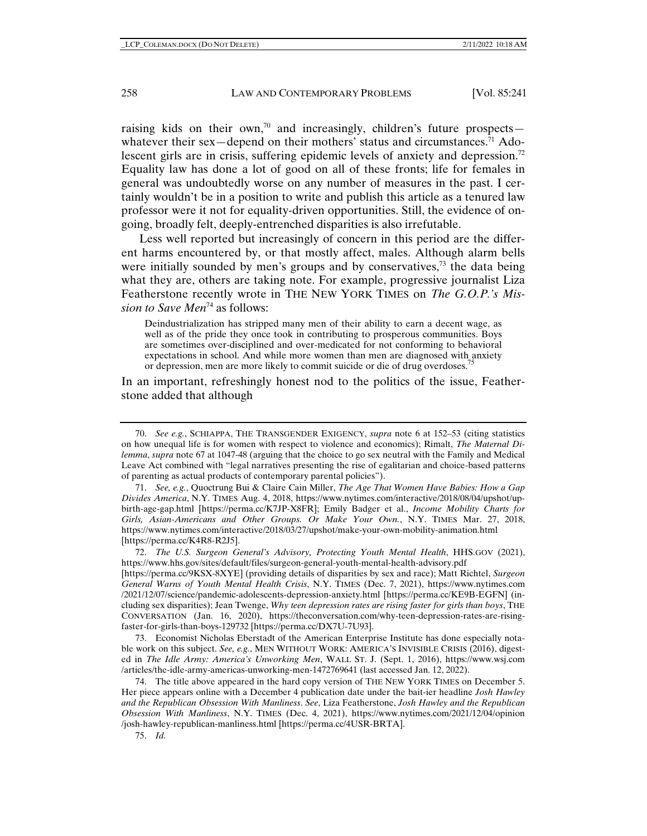raising kids on their own,<sup>70</sup> and increasingly, children's future prospects whatever their sex—depend on their mothers' status and circumstances.<sup>71</sup> Adolescent girls are in crisis, suffering epidemic levels of anxiety and depression.<sup>72</sup> Equality law has done a lot of good on all of these fronts; life for females in general was undoubtedly worse on any number of measures in the past. I certainly wouldn't be in a position to write and publish this article as a tenured law professor were it not for equality-driven opportunities. Still, the evidence of ongoing, broadly felt, deeply-entrenched disparities is also irrefutable.

Less well reported but increasingly of concern in this period are the different harms encountered by, or that mostly affect, males. Although alarm bells were initially sounded by men's groups and by conservatives, $7<sup>3</sup>$  the data being what they are, others are taking note. For example, progressive journalist Liza Featherstone recently wrote in THE NEW YORK TIMES on *The G.O.P.'s Mission to Save Men*<sup>74</sup> as follows:

Deindustrialization has stripped many men of their ability to earn a decent wage, as well as of the pride they once took in contributing to prosperous communities. Boys are sometimes over-disciplined and over-medicated for not conforming to behavioral expectations in school. And while more women than men are diagnosed with anxiety or depression, men are more likely to commit suicide or die of drug overdoses.<sup>7</sup>

In an important, refreshingly honest nod to the politics of the issue, Featherstone added that although

 71. *See, e.g.*, Quoctrung Bui & Claire Cain Miller, *The Age That Women Have Babies: How a Gap Divides America*, N.Y. TIMES Aug. 4, 2018, https://www.nytimes.com/interactive/2018/08/04/upshot/upbirth-age-gap.html [https://perma.cc/K7JP-X8FR]; Emily Badger et al., *Income Mobility Charts for Girls, Asian-Americans and Other Groups. Or Make Your Own.*, N.Y. TIMES Mar. 27, 2018, https://www.nytimes.com/interactive/2018/03/27/upshot/make-your-own-mobility-animation.html [https://perma.cc/K4R8-R2J5].

 72. *The U.S. Surgeon General's Advisory, Protecting Youth Mental Health*, HHS.GOV (2021), https://www.hhs.gov/sites/default/files/surgeon-general-youth-mental-health-advisory.pdf

[https://perma.cc/9KSX-8XYE] (providing details of disparities by sex and race); Matt Richtel, *Surgeon General Warns of Youth Mental Health Crisis*, N.Y. TIMES (Dec. 7, 2021), https://www.nytimes.com /2021/12/07/science/pandemic-adolescents-depression-anxiety.html [https://perma.cc/KE9B-EGFN] (including sex disparities); Jean Twenge, *Why teen depression rates are rising faster for girls than boys*, THE CONVERSATION (Jan. 16, 2020), https://theconversation.com/why-teen-depression-rates-are-risingfaster-for-girls-than-boys-129732 [https://perma.cc/DX7U-7U93].

 73. Economist Nicholas Eberstadt of the American Enterprise Institute has done especially notable work on this subject. *See, e.g.*, MEN WITHOUT WORK: AMERICA'S INVISIBLE CRISIS (2016), digested in *The Idle Army: America's Unworking Men*, WALL ST. J. (Sept. 1, 2016), https://www.wsj.com /articles/the-idle-army-americas-unworking-men-1472769641 (last accessed Jan. 12, 2022).

 74. The title above appeared in the hard copy version of THE NEW YORK TIMES on December 5. Her piece appears online with a December 4 publication date under the bait-ier headline *Josh Hawley and the Republican Obsession With Manliness*. *See*, Liza Featherstone, *Josh Hawley and the Republican Obsession With Manliness*, N.Y. TIMES (Dec. 4, 2021), https://www.nytimes.com/2021/12/04/opinion /josh-hawley-republican-manliness.html [https://perma.cc/4USR-BRTA].

75. *Id.*

 <sup>70.</sup> *See e.g.*, SCHIAPPA, THE TRANSGENDER EXIGENCY, *supra* note 6 at 152–53 (citing statistics on how unequal life is for women with respect to violence and economics); Rimalt, *The Maternal Dilemma*, *supra* note 67 at 1047-48 (arguing that the choice to go sex neutral with the Family and Medical Leave Act combined with "legal narratives presenting the rise of egalitarian and choice-based patterns of parenting as actual products of contemporary parental policies").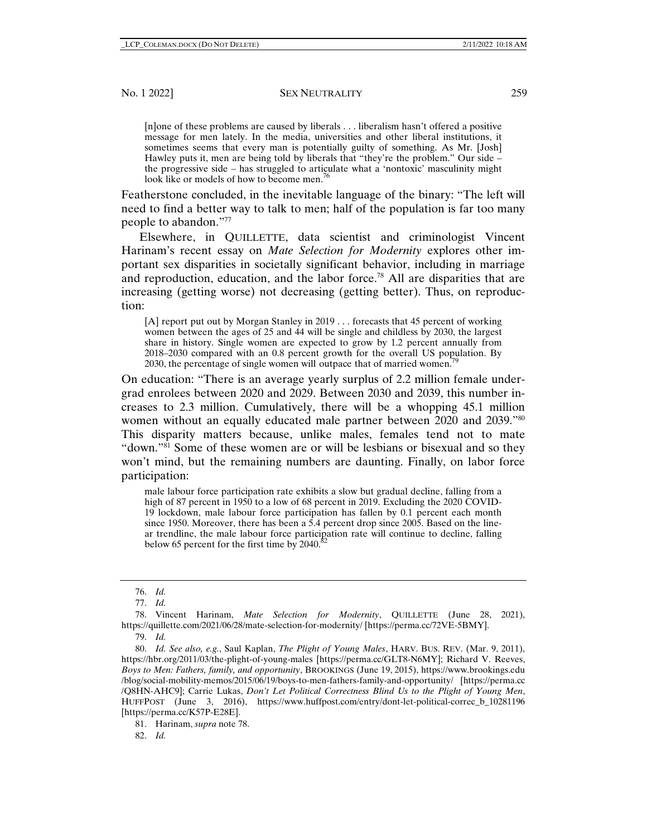[n]one of these problems are caused by liberals . . . liberalism hasn't offered a positive message for men lately. In the media, universities and other liberal institutions, it sometimes seems that every man is potentially guilty of something. As Mr. [Josh] Hawley puts it, men are being told by liberals that "they're the problem." Our side – the progressive side – has struggled to articulate what a 'nontoxic' masculinity might look like or models of how to become men.<sup>76</sup>

Featherstone concluded, in the inevitable language of the binary: "The left will need to find a better way to talk to men; half of the population is far too many people to abandon."77

Elsewhere, in QUILLETTE, data scientist and criminologist Vincent Harinam's recent essay on *Mate Selection for Modernity* explores other important sex disparities in societally significant behavior, including in marriage and reproduction, education, and the labor force.78 All are disparities that are increasing (getting worse) not decreasing (getting better). Thus, on reproduction:

[A] report put out by Morgan Stanley in 2019 . . . forecasts that 45 percent of working women between the ages of 25 and 44 will be single and childless by 2030, the largest share in history. Single women are expected to grow by 1.2 percent annually from 2018–2030 compared with an 0.8 percent growth for the overall US population. By 2030, the percentage of single women will outpace that of married women.<sup>7</sup>

On education: "There is an average yearly surplus of 2.2 million female undergrad enrolees between 2020 and 2029. Between 2030 and 2039, this number increases to 2.3 million. Cumulatively, there will be a whopping 45.1 million women without an equally educated male partner between 2020 and 2039."80 This disparity matters because, unlike males, females tend not to mate "down."81 Some of these women are or will be lesbians or bisexual and so they won't mind, but the remaining numbers are daunting. Finally, on labor force participation:

male labour force participation rate exhibits a slow but gradual decline, falling from a high of 87 percent in 1950 to a low of 68 percent in 2019. Excluding the 2020 COVID-19 lockdown, male labour force participation has fallen by 0.1 percent each month since 1950. Moreover, there has been a 5.4 percent drop since 2005. Based on the linear trendline, the male labour force participation rate will continue to decline, falling below 65 percent for the first time by  $2040$ .<sup>82</sup>

82. *Id.*

 <sup>76.</sup> *Id.*

 <sup>77.</sup> *Id.* 

 <sup>78.</sup> Vincent Harinam, *Mate Selection for Modernity*, QUILLETTE (June 28, 2021), https://quillette.com/2021/06/28/mate-selection-for-modernity/ [https://perma.cc/72VE-5BMY].

 <sup>79.</sup> *Id.*

 <sup>80.</sup> *Id. See also, e.g.*, Saul Kaplan, *The Plight of Young Males*, HARV. BUS. REV. (Mar. 9, 2011), https://hbr.org/2011/03/the-plight-of-young-males [https://perma.cc/GLT8-N6MY]; Richard V. Reeves, *Boys to Men: Fathers, family, and opportunity*, BROOKINGS (June 19, 2015), https://www.brookings.edu /blog/social-mobility-memos/2015/06/19/boys-to-men-fathers-family-and-opportunity/ [https://perma.cc /Q8HN-AHC9]; Carrie Lukas, *Don't Let Political Correctness Blind Us to the Plight of Young Men*, HUFFPOST (June 3, 2016), https://www.huffpost.com/entry/dont-let-political-correc b 10281196 [https://perma.cc/K57P-E28E].

 <sup>81.</sup> Harinam, *supra* note 78.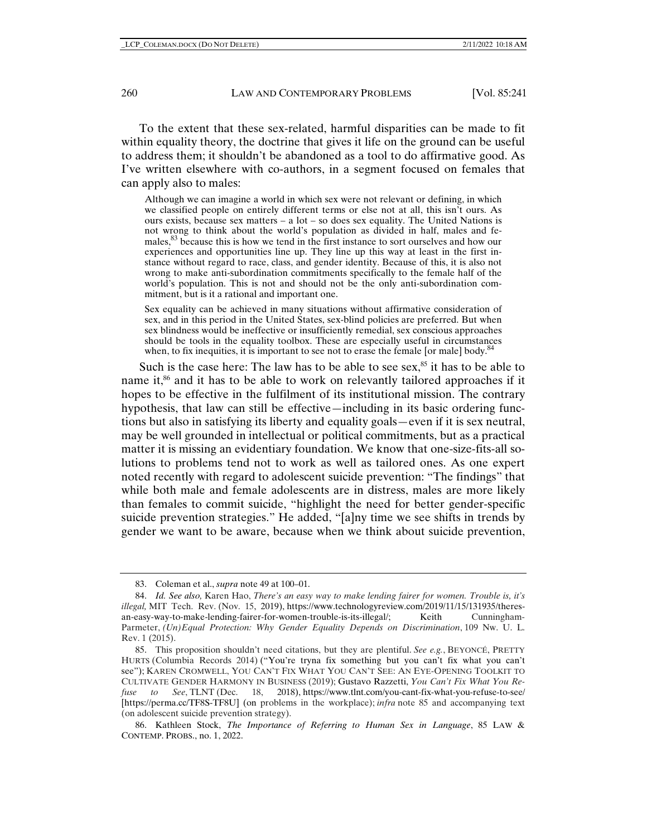To the extent that these sex-related, harmful disparities can be made to fit within equality theory, the doctrine that gives it life on the ground can be useful to address them; it shouldn't be abandoned as a tool to do affirmative good. As I've written elsewhere with co-authors, in a segment focused on females that can apply also to males:

Although we can imagine a world in which sex were not relevant or defining, in which we classified people on entirely different terms or else not at all, this isn't ours. As ours exists, because sex matters – a lot – so does sex equality. The United Nations is not wrong to think about the world's population as divided in half, males and females,<sup>83</sup> because this is how we tend in the first instance to sort ourselves and how our experiences and opportunities line up. They line up this way at least in the first instance without regard to race, class, and gender identity. Because of this, it is also not wrong to make anti-subordination commitments specifically to the female half of the world's population. This is not and should not be the only anti-subordination commitment, but is it a rational and important one.

Sex equality can be achieved in many situations without affirmative consideration of sex, and in this period in the United States, sex-blind policies are preferred. But when sex blindness would be ineffective or insufficiently remedial, sex conscious approaches should be tools in the equality toolbox. These are especially useful in circumstances when, to fix inequities, it is important to see not to erase the female [or male] body.<sup>84</sup>

Such is the case here: The law has to be able to see sex, $85$  it has to be able to name it,<sup>86</sup> and it has to be able to work on relevantly tailored approaches if it hopes to be effective in the fulfilment of its institutional mission. The contrary hypothesis, that law can still be effective—including in its basic ordering functions but also in satisfying its liberty and equality goals—even if it is sex neutral, may be well grounded in intellectual or political commitments, but as a practical matter it is missing an evidentiary foundation. We know that one-size-fits-all solutions to problems tend not to work as well as tailored ones. As one expert noted recently with regard to adolescent suicide prevention: "The findings" that while both male and female adolescents are in distress, males are more likely than females to commit suicide, "highlight the need for better gender-specific suicide prevention strategies." He added, "[a]ny time we see shifts in trends by gender we want to be aware, because when we think about suicide prevention,

 <sup>83.</sup> Coleman et al., *supra* note 49 at 100–01.

 <sup>84.</sup> *Id. See also,* Karen Hao, *There's an easy way to make lending fairer for women. Trouble is, it's illegal,* MIT Tech. Rev. (Nov. 15, 2019), https://www.technologyreview.com/2019/11/15/131935/theresan-easy-way-to-make-lending-fairer-for-women-trouble-is-its-illegal/; Keith Cunningham-Parmeter, *(Un)Equal Protection: Why Gender Equality Depends on Discrimination*, 109 Nw. U. L. Rev. 1 (2015).

 <sup>85.</sup> This proposition shouldn't need citations, but they are plentiful. *See e.g.*, BEYONCÉ, PRETTY HURTS (Columbia Records 2014) ("You're tryna fix something but you can't fix what you can't see"); KAREN CROMWELL, YOU CAN'T FIX WHAT YOU CAN'T SEE: AN EYE-OPENING TOOLKIT TO CULTIVATE GENDER HARMONY IN BUSINESS (2019); Gustavo Razzetti, *You Can't Fix What You Refuse to See*, TLNT (Dec. 18, 2018), https://www.tlnt.com/you-cant-fix-what-you-refuse-to-see/ [https://perma.cc/TF8S-TF8U] (on problems in the workplace); *infra* note 85 and accompanying text (on adolescent suicide prevention strategy).

 <sup>86.</sup> Kathleen Stock, *The Importance of Referring to Human Sex in Language*, 85 LAW & CONTEMP. PROBS., no. 1, 2022.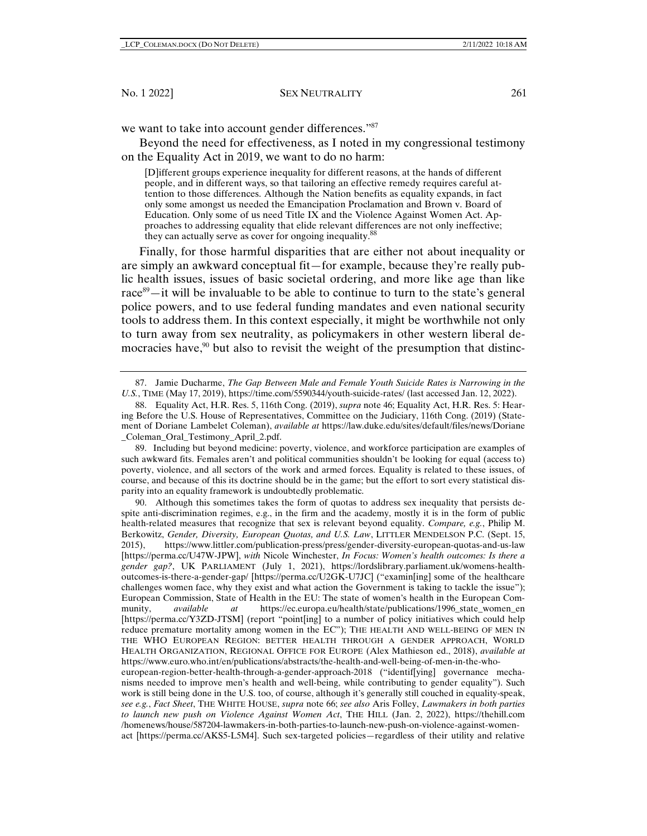we want to take into account gender differences."87

Beyond the need for effectiveness, as I noted in my congressional testimony on the Equality Act in 2019, we want to do no harm:

[D]ifferent groups experience inequality for different reasons, at the hands of different people, and in different ways, so that tailoring an effective remedy requires careful attention to those differences. Although the Nation benefits as equality expands, in fact only some amongst us needed the Emancipation Proclamation and Brown v. Board of Education. Only some of us need Title IX and the Violence Against Women Act. Approaches to addressing equality that elide relevant differences are not only ineffective; they can actually serve as cover for ongoing inequality.<sup>88</sup>

Finally, for those harmful disparities that are either not about inequality or are simply an awkward conceptual fit—for example, because they're really public health issues, issues of basic societal ordering, and more like age than like race<sup>89</sup>—it will be invaluable to be able to continue to turn to the state's general police powers, and to use federal funding mandates and even national security tools to address them. In this context especially, it might be worthwhile not only to turn away from sex neutrality, as policymakers in other western liberal democracies have, $90$  but also to revisit the weight of the presumption that distinc-

 89. Including but beyond medicine: poverty, violence, and workforce participation are examples of such awkward fits. Females aren't and political communities shouldn't be looking for equal (access to) poverty, violence, and all sectors of the work and armed forces. Equality is related to these issues, of course, and because of this its doctrine should be in the game; but the effort to sort every statistical disparity into an equality framework is undoubtedly problematic.

 90. Although this sometimes takes the form of quotas to address sex inequality that persists despite anti-discrimination regimes, e.g., in the firm and the academy, mostly it is in the form of public health-related measures that recognize that sex is relevant beyond equality. *Compare, e.g.*, Philip M. Berkowitz, *Gender, Diversity, European Quotas, and U.S. Law*, LITTLER MENDELSON P.C. (Sept. 15, 2015), https://www.littler.com/publication-press/press/gender-diversity-european-quotas-and-us-law [https://perma.cc/U47W-JPW], *with* Nicole Winchester, *In Focus: Women's health outcomes: Is there a gender gap?*, UK PARLIAMENT (July 1, 2021), https://lordslibrary.parliament.uk/womens-healthoutcomes-is-there-a-gender-gap/ [https://perma.cc/U2GK-U7JC] ("examin[ing] some of the healthcare challenges women face, why they exist and what action the Government is taking to tackle the issue"); European Commission, State of Health in the EU: The state of women's health in the European Community, *available at* https://ec.europa.eu/health/state/publications/1996\_state\_women\_en [https://perma.cc/Y3ZD-JTSM] (report "point[ing] to a number of policy initiatives which could help reduce premature mortality among women in the EC"); THE HEALTH AND WELL-BEING OF MEN IN THE WHO EUROPEAN REGION: BETTER HEALTH THROUGH A GENDER APPROACH, WORLD HEALTH ORGANIZATION, REGIONAL OFFICE FOR EUROPE (Alex Mathieson ed., 2018), *available at*  https://www.euro.who.int/en/publications/abstracts/the-health-and-well-being-of-men-in-the-whoeuropean-region-better-health-through-a-gender-approach-2018 ("identif[ying] governance mechanisms needed to improve men's health and well-being, while contributing to gender equality"). Such work is still being done in the U.S. too, of course, although it's generally still couched in equality-speak, *see e.g.*, *Fact Sheet*, THE WHITE HOUSE, *supra* note 66; *see also* Aris Folley, *Lawmakers in both parties* 

*to launch new push on Violence Against Women Act*, THE HILL (Jan. 2, 2022), https://thehill.com /homenews/house/587204-lawmakers-in-both-parties-to-launch-new-push-on-violence-against-womenact [https://perma.cc/AKS5-L5M4]. Such sex-targeted policies—regardless of their utility and relative

 <sup>87.</sup> Jamie Ducharme, *The Gap Between Male and Female Youth Suicide Rates is Narrowing in the U.S.*, TIME (May 17, 2019), https://time.com/5590344/youth-suicide-rates/ (last accessed Jan. 12, 2022).

 <sup>88.</sup> Equality Act, H.R. Res. 5, 116th Cong. (2019), *supra* note 46; Equality Act, H.R. Res. 5: Hearing Before the U.S. House of Representatives, Committee on the Judiciary, 116th Cong. (2019) (Statement of Doriane Lambelet Coleman), *available at* https://law.duke.edu/sites/default/files/news/Doriane \_Coleman\_Oral\_Testimony\_April\_2.pdf.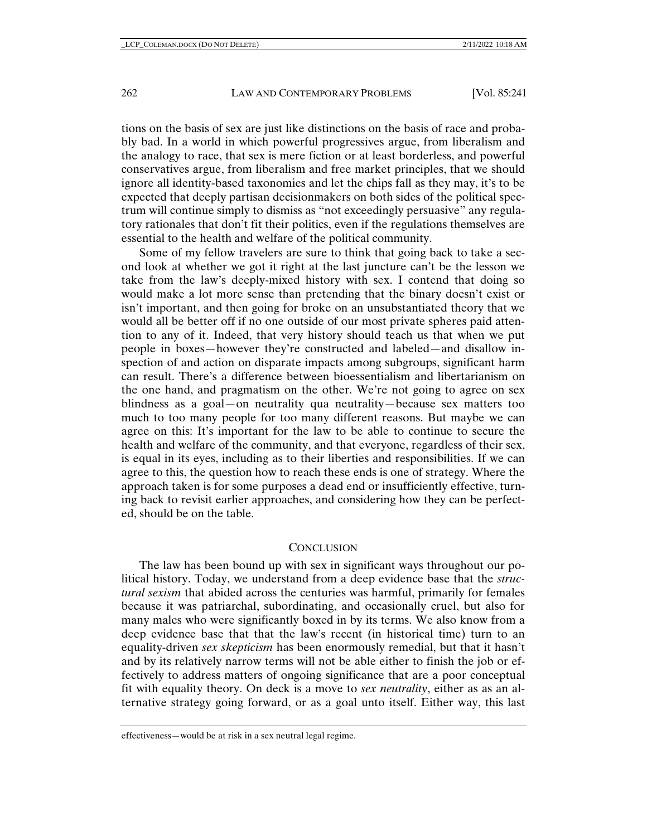tions on the basis of sex are just like distinctions on the basis of race and probably bad. In a world in which powerful progressives argue, from liberalism and the analogy to race, that sex is mere fiction or at least borderless, and powerful conservatives argue, from liberalism and free market principles, that we should ignore all identity-based taxonomies and let the chips fall as they may, it's to be expected that deeply partisan decisionmakers on both sides of the political spectrum will continue simply to dismiss as "not exceedingly persuasive" any regulatory rationales that don't fit their politics, even if the regulations themselves are essential to the health and welfare of the political community.

Some of my fellow travelers are sure to think that going back to take a second look at whether we got it right at the last juncture can't be the lesson we take from the law's deeply-mixed history with sex. I contend that doing so would make a lot more sense than pretending that the binary doesn't exist or isn't important, and then going for broke on an unsubstantiated theory that we would all be better off if no one outside of our most private spheres paid attention to any of it. Indeed, that very history should teach us that when we put people in boxes—however they're constructed and labeled—and disallow inspection of and action on disparate impacts among subgroups, significant harm can result. There's a difference between bioessentialism and libertarianism on the one hand, and pragmatism on the other. We're not going to agree on sex blindness as a goal—on neutrality qua neutrality—because sex matters too much to too many people for too many different reasons. But maybe we can agree on this: It's important for the law to be able to continue to secure the health and welfare of the community, and that everyone, regardless of their sex, is equal in its eyes, including as to their liberties and responsibilities. If we can agree to this, the question how to reach these ends is one of strategy. Where the approach taken is for some purposes a dead end or insufficiently effective, turning back to revisit earlier approaches, and considering how they can be perfected, should be on the table.

#### **CONCLUSION**

The law has been bound up with sex in significant ways throughout our political history. Today, we understand from a deep evidence base that the *structural sexism* that abided across the centuries was harmful, primarily for females because it was patriarchal, subordinating, and occasionally cruel, but also for many males who were significantly boxed in by its terms. We also know from a deep evidence base that that the law's recent (in historical time) turn to an equality-driven *sex skepticism* has been enormously remedial, but that it hasn't and by its relatively narrow terms will not be able either to finish the job or effectively to address matters of ongoing significance that are a poor conceptual fit with equality theory. On deck is a move to *sex neutrality*, either as as an alternative strategy going forward, or as a goal unto itself. Either way, this last

effectiveness—would be at risk in a sex neutral legal regime.